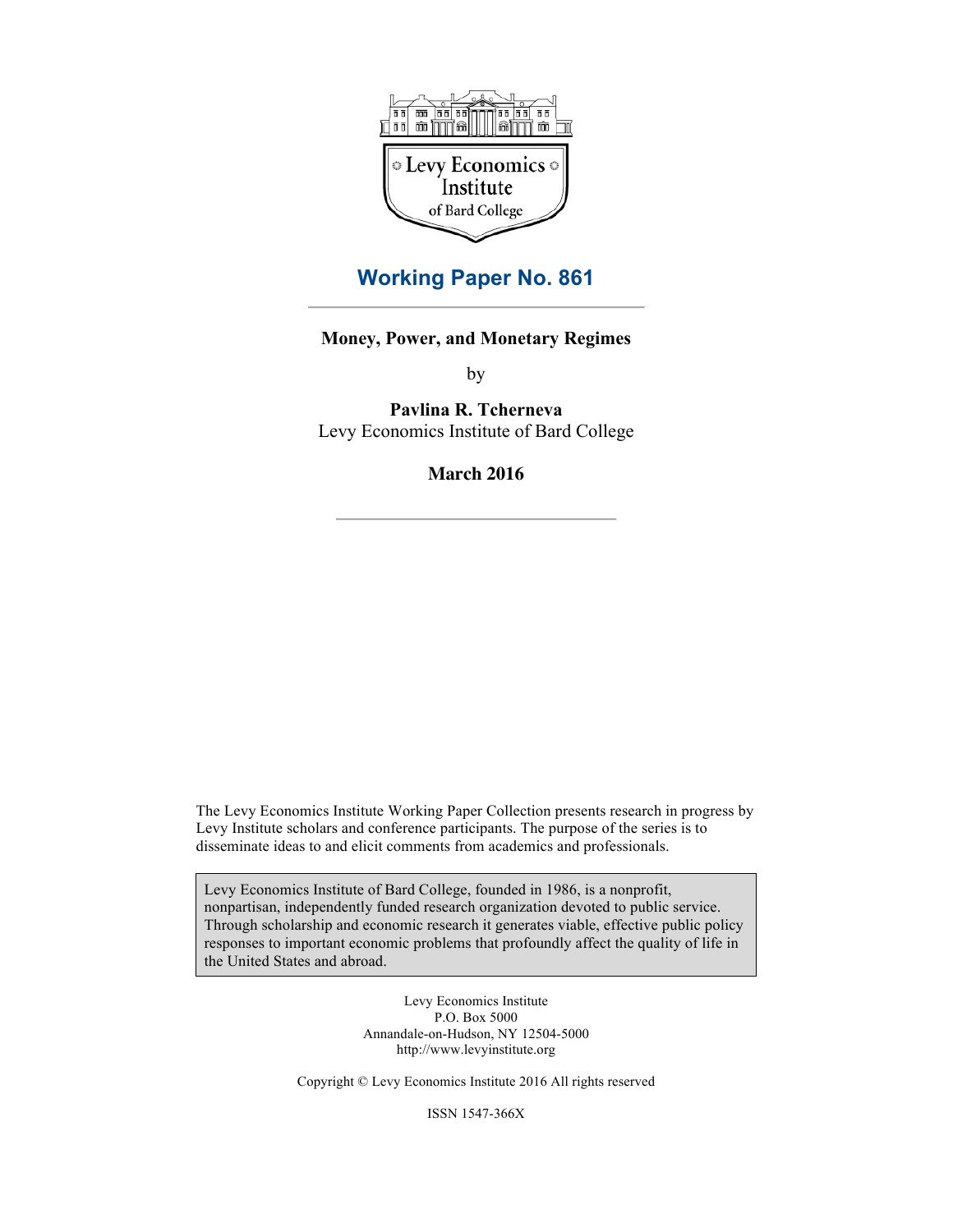

# **Working Paper No. 861**

# **Money, Power, and Monetary Regimes**

by

**Pavlina R. Tcherneva** Levy Economics Institute of Bard College

# **March 2016**

The Levy Economics Institute Working Paper Collection presents research in progress by Levy Institute scholars and conference participants. The purpose of the series is to disseminate ideas to and elicit comments from academics and professionals.

Levy Economics Institute of Bard College, founded in 1986, is a nonprofit, nonpartisan, independently funded research organization devoted to public service. Through scholarship and economic research it generates viable, effective public policy responses to important economic problems that profoundly affect the quality of life in the United States and abroad.

> Levy Economics Institute P.O. Box 5000 Annandale-on-Hudson, NY 12504-5000 http://www.levyinstitute.org

Copyright © Levy Economics Institute 2016 All rights reserved

ISSN 1547-366X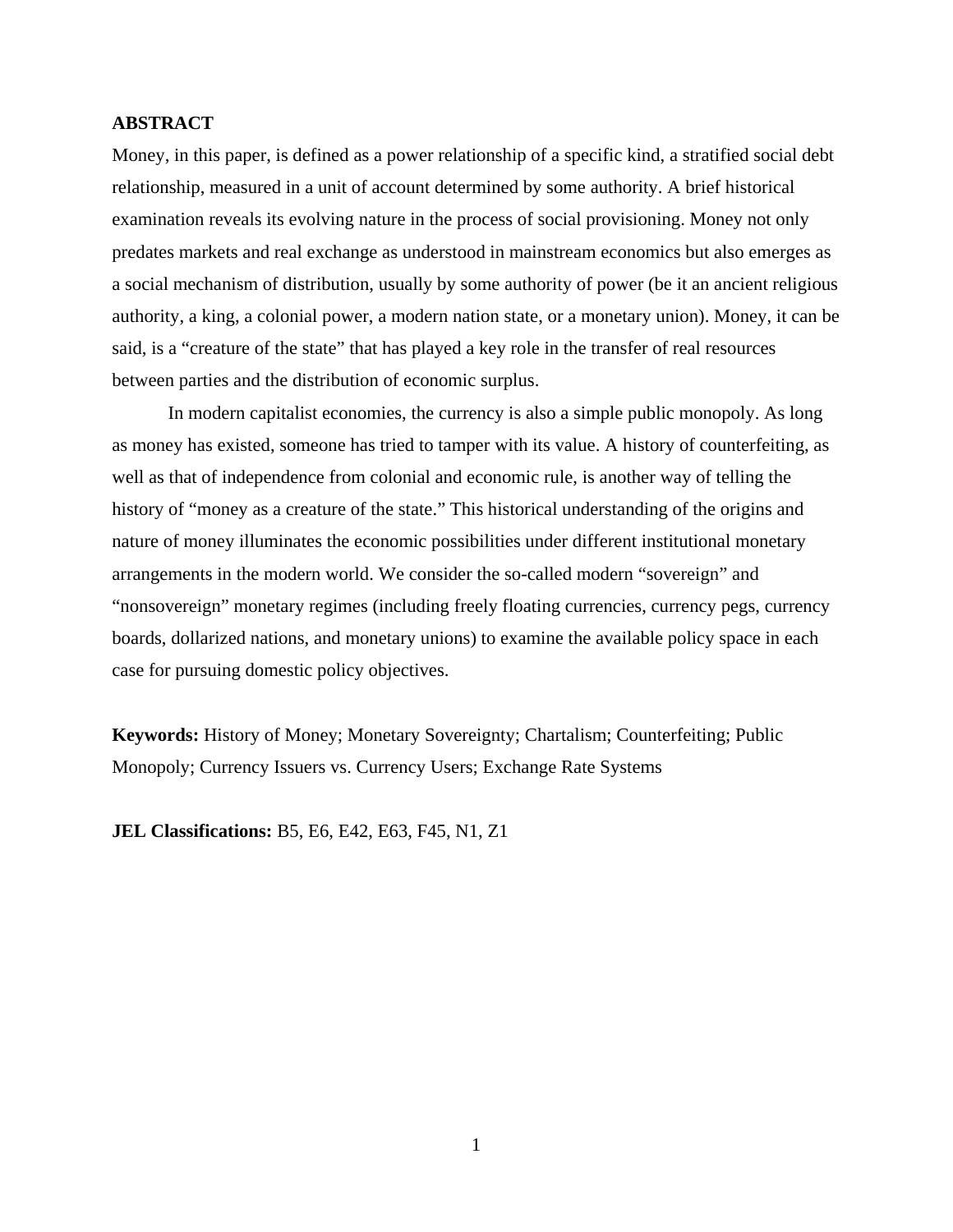## **ABSTRACT**

Money, in this paper, is defined as a power relationship of a specific kind, a stratified social debt relationship, measured in a unit of account determined by some authority. A brief historical examination reveals its evolving nature in the process of social provisioning. Money not only predates markets and real exchange as understood in mainstream economics but also emerges as a social mechanism of distribution, usually by some authority of power (be it an ancient religious authority, a king, a colonial power, a modern nation state, or a monetary union). Money, it can be said, is a "creature of the state" that has played a key role in the transfer of real resources between parties and the distribution of economic surplus.

 In modern capitalist economies, the currency is also a simple public monopoly. As long as money has existed, someone has tried to tamper with its value. A history of counterfeiting, as well as that of independence from colonial and economic rule, is another way of telling the history of "money as a creature of the state." This historical understanding of the origins and nature of money illuminates the economic possibilities under different institutional monetary arrangements in the modern world. We consider the so-called modern "sovereign" and "nonsovereign" monetary regimes (including freely floating currencies, currency pegs, currency boards, dollarized nations, and monetary unions) to examine the available policy space in each case for pursuing domestic policy objectives.

**Keywords:** History of Money; Monetary Sovereignty; Chartalism; Counterfeiting; Public Monopoly; Currency Issuers vs. Currency Users; Exchange Rate Systems

**JEL Classifications:** B5, E6, E42, E63, F45, N1, Z1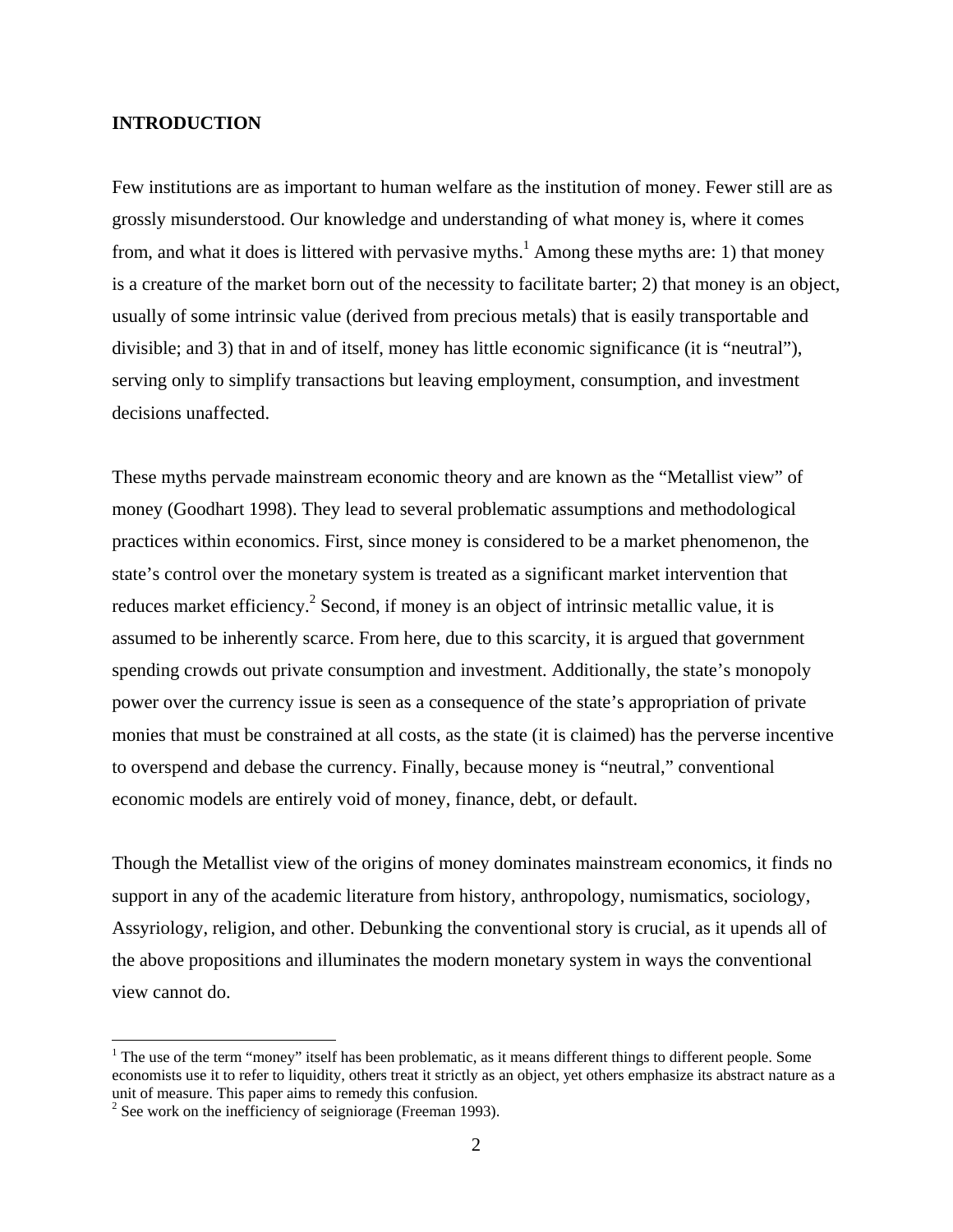## **INTRODUCTION**

Few institutions are as important to human welfare as the institution of money. Fewer still are as grossly misunderstood. Our knowledge and understanding of what money is, where it comes from, and what it does is littered with pervasive myths.<sup>1</sup> Among these myths are: 1) that money is a creature of the market born out of the necessity to facilitate barter; 2) that money is an object, usually of some intrinsic value (derived from precious metals) that is easily transportable and divisible; and 3) that in and of itself, money has little economic significance (it is "neutral"), serving only to simplify transactions but leaving employment, consumption, and investment decisions unaffected.

These myths pervade mainstream economic theory and are known as the "Metallist view" of money (Goodhart 1998). They lead to several problematic assumptions and methodological practices within economics. First, since money is considered to be a market phenomenon, the state's control over the monetary system is treated as a significant market intervention that reduces market efficiency.<sup>2</sup> Second, if money is an object of intrinsic metallic value, it is assumed to be inherently scarce. From here, due to this scarcity, it is argued that government spending crowds out private consumption and investment. Additionally, the state's monopoly power over the currency issue is seen as a consequence of the state's appropriation of private monies that must be constrained at all costs, as the state (it is claimed) has the perverse incentive to overspend and debase the currency. Finally, because money is "neutral," conventional economic models are entirely void of money, finance, debt, or default.

Though the Metallist view of the origins of money dominates mainstream economics, it finds no support in any of the academic literature from history, anthropology, numismatics, sociology, Assyriology, religion, and other. Debunking the conventional story is crucial, as it upends all of the above propositions and illuminates the modern monetary system in ways the conventional view cannot do.

<sup>&</sup>lt;sup>1</sup> The use of the term "money" itself has been problematic, as it means different things to different people. Some economists use it to refer to liquidity, others treat it strictly as an object, yet others emphasize its abstract nature as a unit of measure. This paper aims to remedy this confusion.

 $2^2$  See work on the inefficiency of seigniorage (Freeman 1993).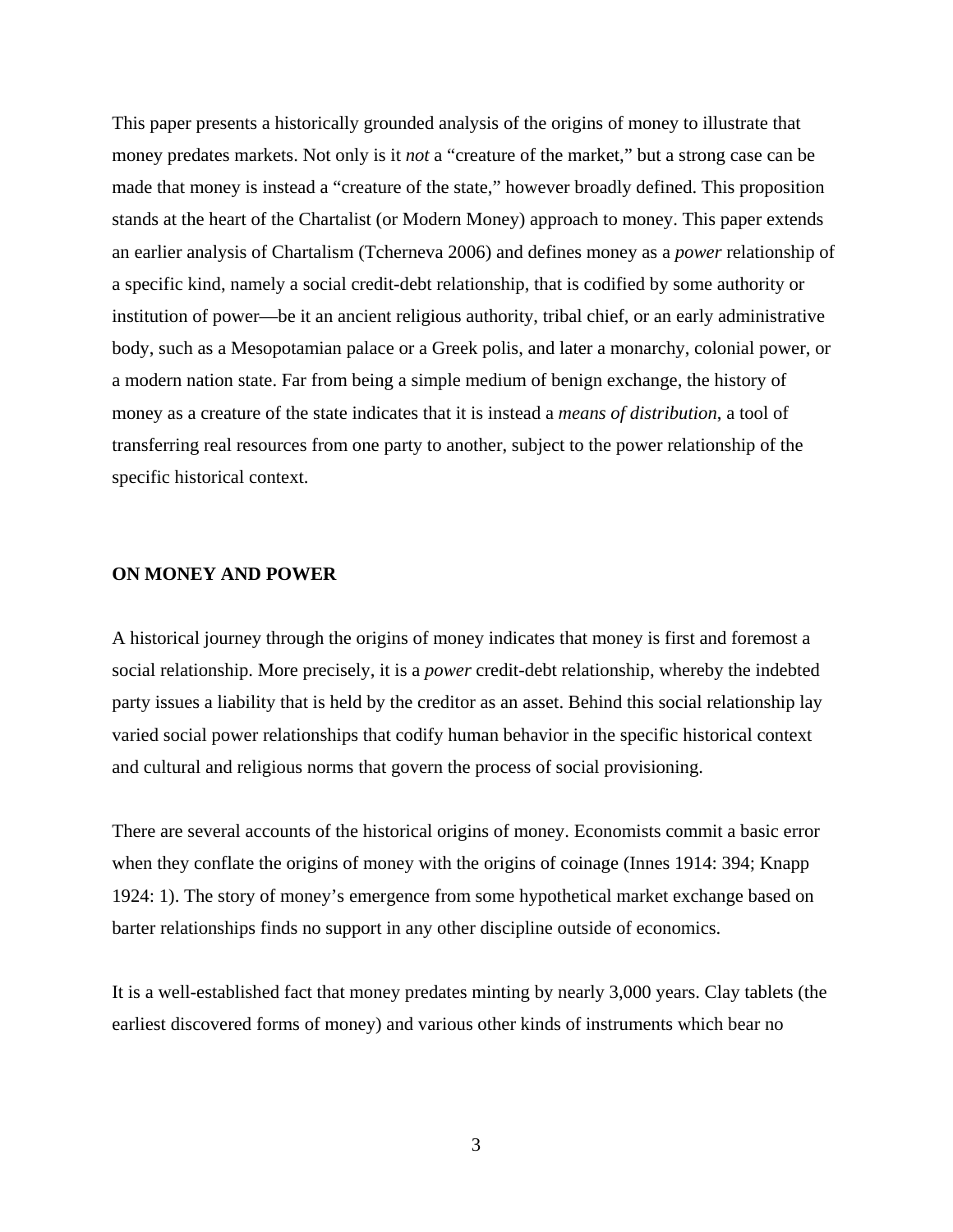This paper presents a historically grounded analysis of the origins of money to illustrate that money predates markets. Not only is it *not* a "creature of the market," but a strong case can be made that money is instead a "creature of the state," however broadly defined. This proposition stands at the heart of the Chartalist (or Modern Money) approach to money. This paper extends an earlier analysis of Chartalism (Tcherneva 2006) and defines money as a *power* relationship of a specific kind, namely a social credit-debt relationship, that is codified by some authority or institution of power—be it an ancient religious authority, tribal chief, or an early administrative body, such as a Mesopotamian palace or a Greek polis, and later a monarchy, colonial power, or a modern nation state. Far from being a simple medium of benign exchange, the history of money as a creature of the state indicates that it is instead a *means of distribution*, a tool of transferring real resources from one party to another, subject to the power relationship of the specific historical context.

## **ON MONEY AND POWER**

A historical journey through the origins of money indicates that money is first and foremost a social relationship. More precisely, it is a *power* credit-debt relationship, whereby the indebted party issues a liability that is held by the creditor as an asset. Behind this social relationship lay varied social power relationships that codify human behavior in the specific historical context and cultural and religious norms that govern the process of social provisioning.

There are several accounts of the historical origins of money. Economists commit a basic error when they conflate the origins of money with the origins of coinage (Innes 1914: 394; Knapp 1924: 1). The story of money's emergence from some hypothetical market exchange based on barter relationships finds no support in any other discipline outside of economics.

It is a well-established fact that money predates minting by nearly 3,000 years. Clay tablets (the earliest discovered forms of money) and various other kinds of instruments which bear no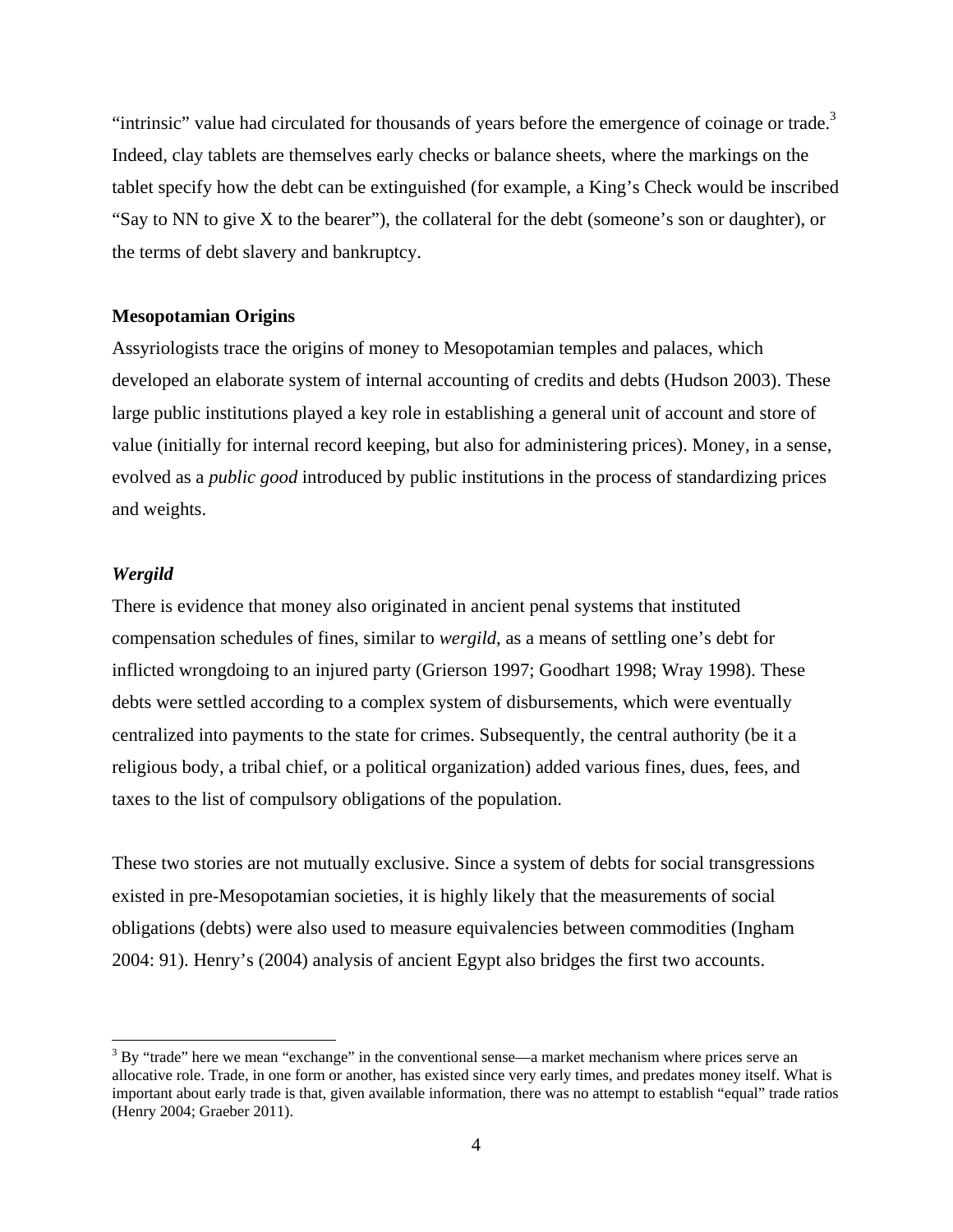"intrinsic" value had circulated for thousands of years before the emergence of coinage or trade.<sup>3</sup> Indeed, clay tablets are themselves early checks or balance sheets, where the markings on the tablet specify how the debt can be extinguished (for example, a King's Check would be inscribed "Say to NN to give X to the bearer"), the collateral for the debt (someone's son or daughter), or the terms of debt slavery and bankruptcy.

#### **Mesopotamian Origins**

Assyriologists trace the origins of money to Mesopotamian temples and palaces, which developed an elaborate system of internal accounting of credits and debts (Hudson 2003). These large public institutions played a key role in establishing a general unit of account and store of value (initially for internal record keeping, but also for administering prices). Money, in a sense, evolved as a *public good* introduced by public institutions in the process of standardizing prices and weights.

#### *Wergild*

There is evidence that money also originated in ancient penal systems that instituted compensation schedules of fines, similar to *wergild*, as a means of settling one's debt for inflicted wrongdoing to an injured party (Grierson 1997; Goodhart 1998; Wray 1998). These debts were settled according to a complex system of disbursements, which were eventually centralized into payments to the state for crimes. Subsequently, the central authority (be it a religious body, a tribal chief, or a political organization) added various fines, dues, fees, and taxes to the list of compulsory obligations of the population.

These two stories are not mutually exclusive. Since a system of debts for social transgressions existed in pre-Mesopotamian societies, it is highly likely that the measurements of social obligations (debts) were also used to measure equivalencies between commodities (Ingham 2004: 91). Henry's (2004) analysis of ancient Egypt also bridges the first two accounts.

 $3$  By "trade" here we mean "exchange" in the conventional sense—a market mechanism where prices serve an allocative role. Trade, in one form or another, has existed since very early times, and predates money itself. What is important about early trade is that, given available information, there was no attempt to establish "equal" trade ratios (Henry 2004; Graeber 2011).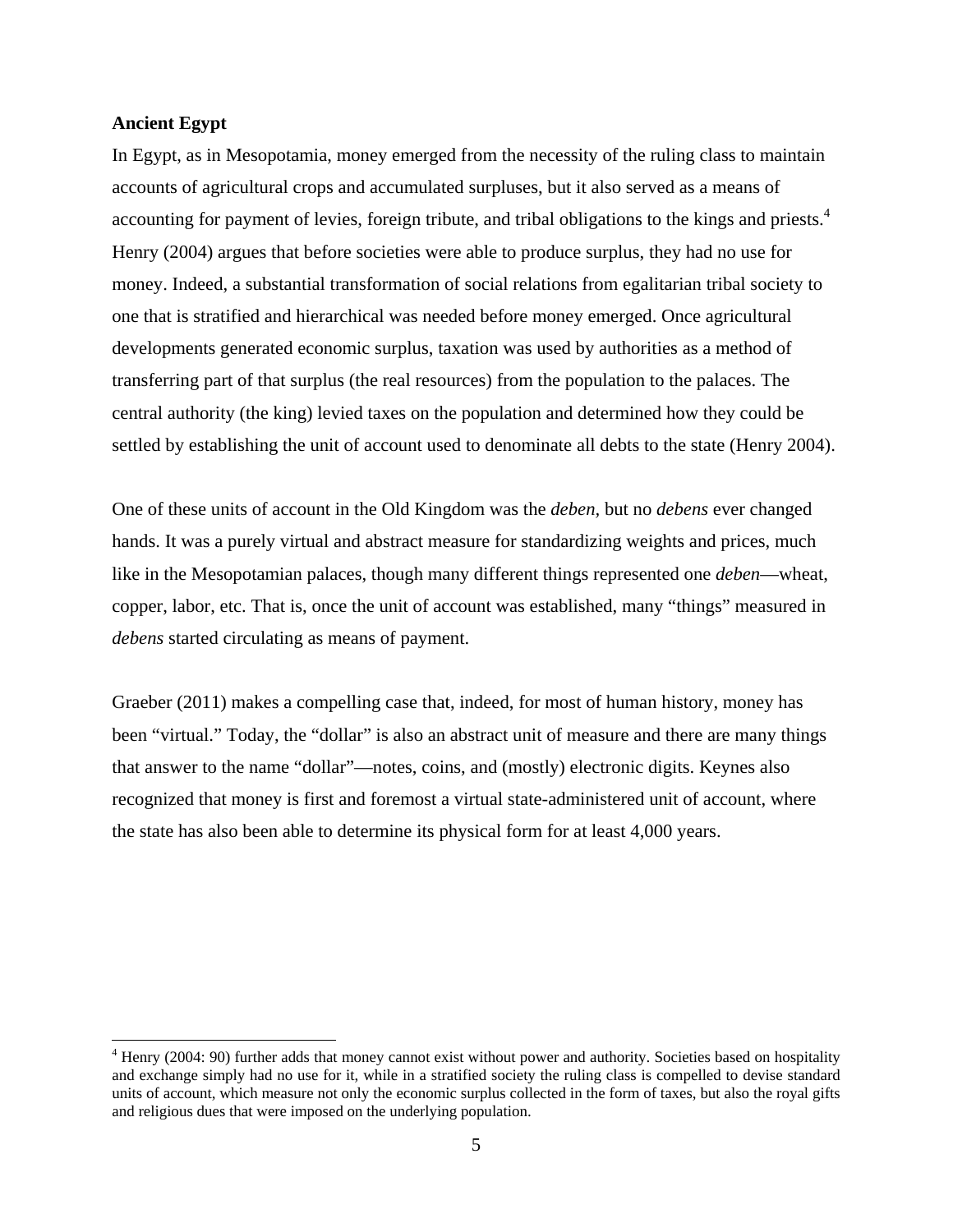## **Ancient Egypt**

In Egypt, as in Mesopotamia, money emerged from the necessity of the ruling class to maintain accounts of agricultural crops and accumulated surpluses, but it also served as a means of accounting for payment of levies, foreign tribute, and tribal obligations to the kings and priests.<sup>4</sup> Henry (2004) argues that before societies were able to produce surplus, they had no use for money. Indeed, a substantial transformation of social relations from egalitarian tribal society to one that is stratified and hierarchical was needed before money emerged. Once agricultural developments generated economic surplus, taxation was used by authorities as a method of transferring part of that surplus (the real resources) from the population to the palaces. The central authority (the king) levied taxes on the population and determined how they could be settled by establishing the unit of account used to denominate all debts to the state (Henry 2004).

One of these units of account in the Old Kingdom was the *deben,* but no *debens* ever changed hands. It was a purely virtual and abstract measure for standardizing weights and prices, much like in the Mesopotamian palaces, though many different things represented one *deben*—wheat, copper, labor, etc. That is, once the unit of account was established, many "things" measured in *debens* started circulating as means of payment.

Graeber (2011) makes a compelling case that, indeed, for most of human history, money has been "virtual." Today, the "dollar" is also an abstract unit of measure and there are many things that answer to the name "dollar"—notes, coins, and (mostly) electronic digits. Keynes also recognized that money is first and foremost a virtual state-administered unit of account, where the state has also been able to determine its physical form for at least 4,000 years.

 $4$  Henry (2004: 90) further adds that money cannot exist without power and authority. Societies based on hospitality and exchange simply had no use for it, while in a stratified society the ruling class is compelled to devise standard units of account, which measure not only the economic surplus collected in the form of taxes, but also the royal gifts and religious dues that were imposed on the underlying population.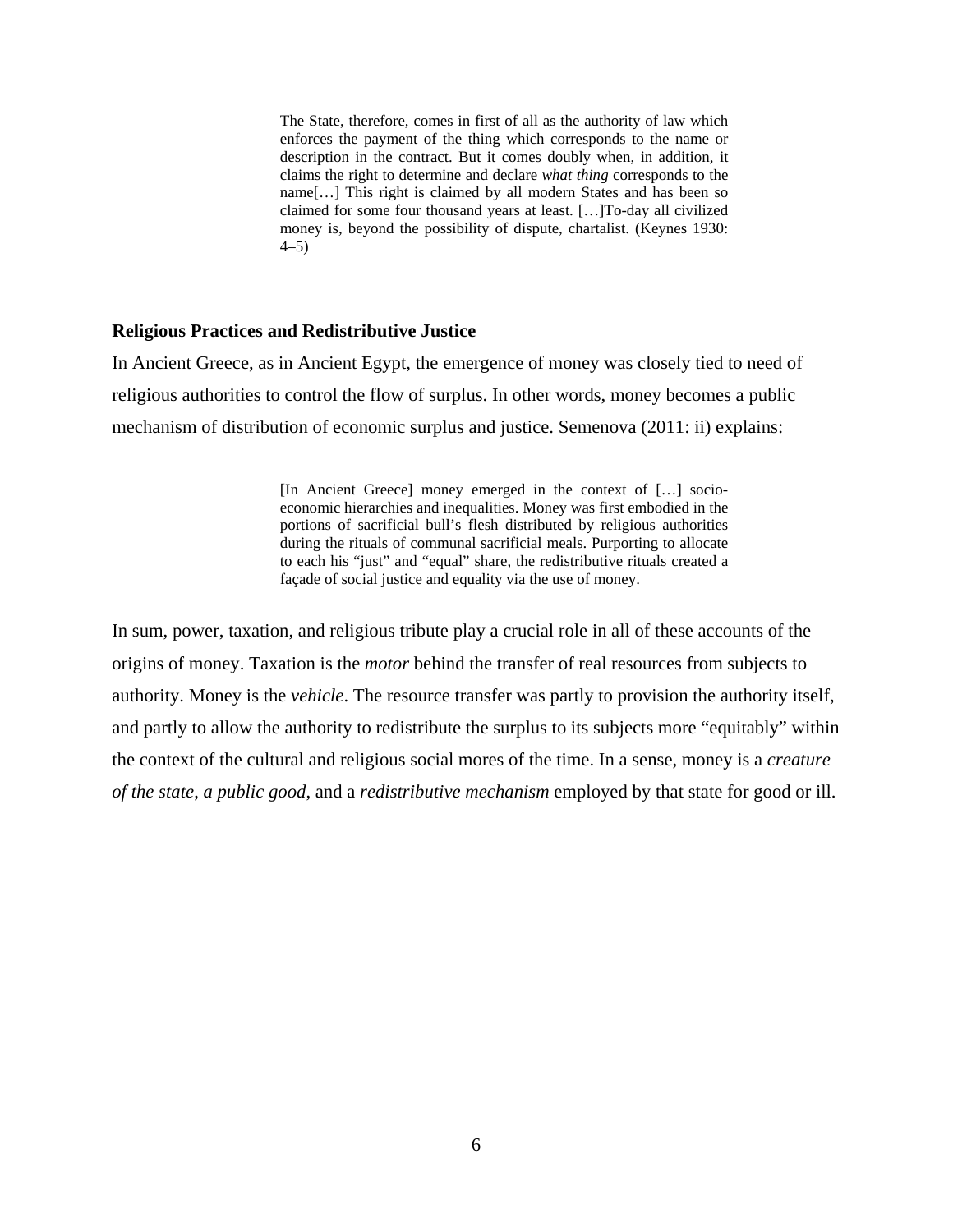The State, therefore, comes in first of all as the authority of law which enforces the payment of the thing which corresponds to the name or description in the contract. But it comes doubly when, in addition, it claims the right to determine and declare *what thing* corresponds to the name[…] This right is claimed by all modern States and has been so claimed for some four thousand years at least. […]To-day all civilized money is, beyond the possibility of dispute, chartalist. (Keynes 1930: 4–5)

#### **Religious Practices and Redistributive Justice**

In Ancient Greece, as in Ancient Egypt, the emergence of money was closely tied to need of religious authorities to control the flow of surplus. In other words, money becomes a public mechanism of distribution of economic surplus and justice. Semenova (2011: ii) explains:

> [In Ancient Greece] money emerged in the context of […] socioeconomic hierarchies and inequalities. Money was first embodied in the portions of sacrificial bull's flesh distributed by religious authorities during the rituals of communal sacrificial meals. Purporting to allocate to each his "just" and "equal" share, the redistributive rituals created a façade of social justice and equality via the use of money.

In sum, power, taxation, and religious tribute play a crucial role in all of these accounts of the origins of money. Taxation is the *motor* behind the transfer of real resources from subjects to authority. Money is the *vehicle*. The resource transfer was partly to provision the authority itself, and partly to allow the authority to redistribute the surplus to its subjects more "equitably" within the context of the cultural and religious social mores of the time. In a sense, money is a *creature of the state*, *a public good*, and a *redistributive mechanism* employed by that state for good or ill.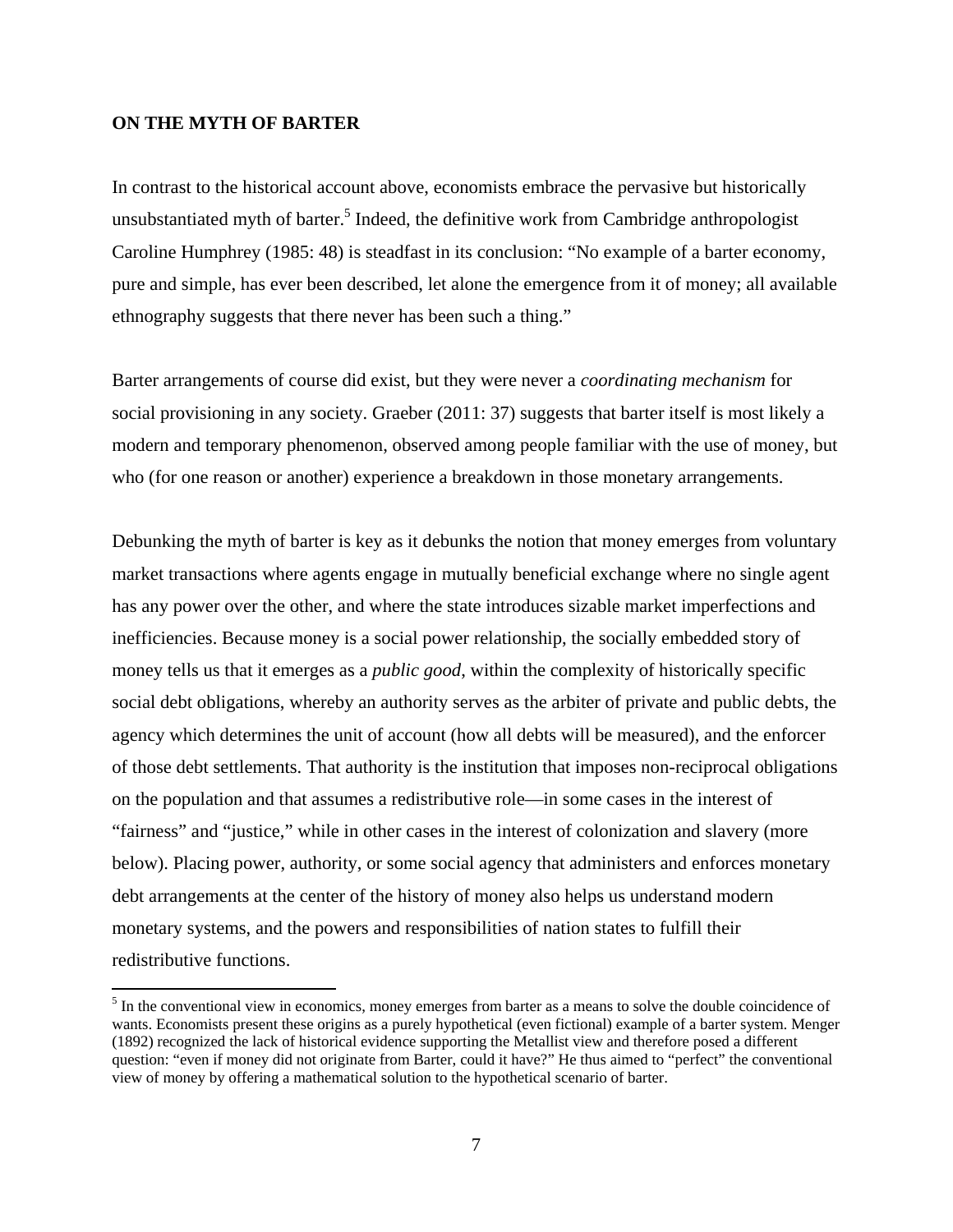## **ON THE MYTH OF BARTER**

In contrast to the historical account above, economists embrace the pervasive but historically unsubstantiated myth of barter.<sup>5</sup> Indeed, the definitive work from Cambridge anthropologist Caroline Humphrey (1985: 48) is steadfast in its conclusion: "No example of a barter economy, pure and simple, has ever been described, let alone the emergence from it of money; all available ethnography suggests that there never has been such a thing."

Barter arrangements of course did exist, but they were never a *coordinating mechanism* for social provisioning in any society. Graeber (2011: 37) suggests that barter itself is most likely a modern and temporary phenomenon, observed among people familiar with the use of money, but who (for one reason or another) experience a breakdown in those monetary arrangements.

Debunking the myth of barter is key as it debunks the notion that money emerges from voluntary market transactions where agents engage in mutually beneficial exchange where no single agent has any power over the other, and where the state introduces sizable market imperfections and inefficiencies. Because money is a social power relationship, the socially embedded story of money tells us that it emerges as a *public good*, within the complexity of historically specific social debt obligations, whereby an authority serves as the arbiter of private and public debts, the agency which determines the unit of account (how all debts will be measured), and the enforcer of those debt settlements. That authority is the institution that imposes non-reciprocal obligations on the population and that assumes a redistributive role—in some cases in the interest of "fairness" and "justice," while in other cases in the interest of colonization and slavery (more below). Placing power, authority, or some social agency that administers and enforces monetary debt arrangements at the center of the history of money also helps us understand modern monetary systems, and the powers and responsibilities of nation states to fulfill their redistributive functions.

 $<sup>5</sup>$  In the conventional view in economics, money emerges from barter as a means to solve the double coincidence of</sup> wants. Economists present these origins as a purely hypothetical (even fictional) example of a barter system. Menger (1892) recognized the lack of historical evidence supporting the Metallist view and therefore posed a different question: "even if money did not originate from Barter, could it have?" He thus aimed to "perfect" the conventional view of money by offering a mathematical solution to the hypothetical scenario of barter.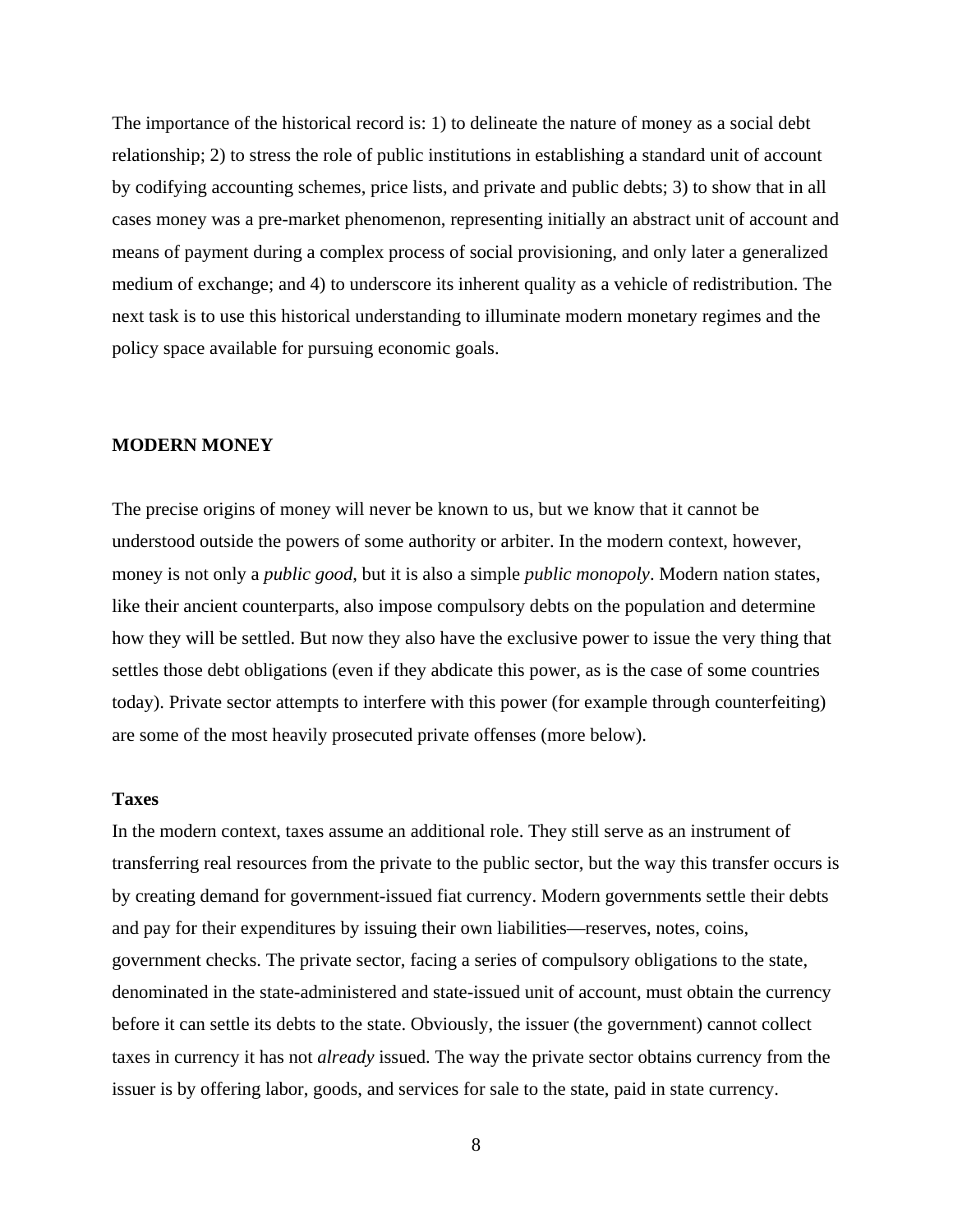The importance of the historical record is: 1) to delineate the nature of money as a social debt relationship; 2) to stress the role of public institutions in establishing a standard unit of account by codifying accounting schemes, price lists, and private and public debts; 3) to show that in all cases money was a pre-market phenomenon, representing initially an abstract unit of account and means of payment during a complex process of social provisioning, and only later a generalized medium of exchange; and 4) to underscore its inherent quality as a vehicle of redistribution. The next task is to use this historical understanding to illuminate modern monetary regimes and the policy space available for pursuing economic goals.

## **MODERN MONEY**

The precise origins of money will never be known to us, but we know that it cannot be understood outside the powers of some authority or arbiter. In the modern context, however, money is not only a *public good*, but it is also a simple *public monopoly*. Modern nation states, like their ancient counterparts, also impose compulsory debts on the population and determine how they will be settled. But now they also have the exclusive power to issue the very thing that settles those debt obligations (even if they abdicate this power, as is the case of some countries today). Private sector attempts to interfere with this power (for example through counterfeiting) are some of the most heavily prosecuted private offenses (more below).

## **Taxes**

In the modern context, taxes assume an additional role. They still serve as an instrument of transferring real resources from the private to the public sector, but the way this transfer occurs is by creating demand for government-issued fiat currency. Modern governments settle their debts and pay for their expenditures by issuing their own liabilities—reserves, notes, coins, government checks. The private sector, facing a series of compulsory obligations to the state, denominated in the state-administered and state-issued unit of account, must obtain the currency before it can settle its debts to the state. Obviously, the issuer (the government) cannot collect taxes in currency it has not *already* issued. The way the private sector obtains currency from the issuer is by offering labor, goods, and services for sale to the state, paid in state currency.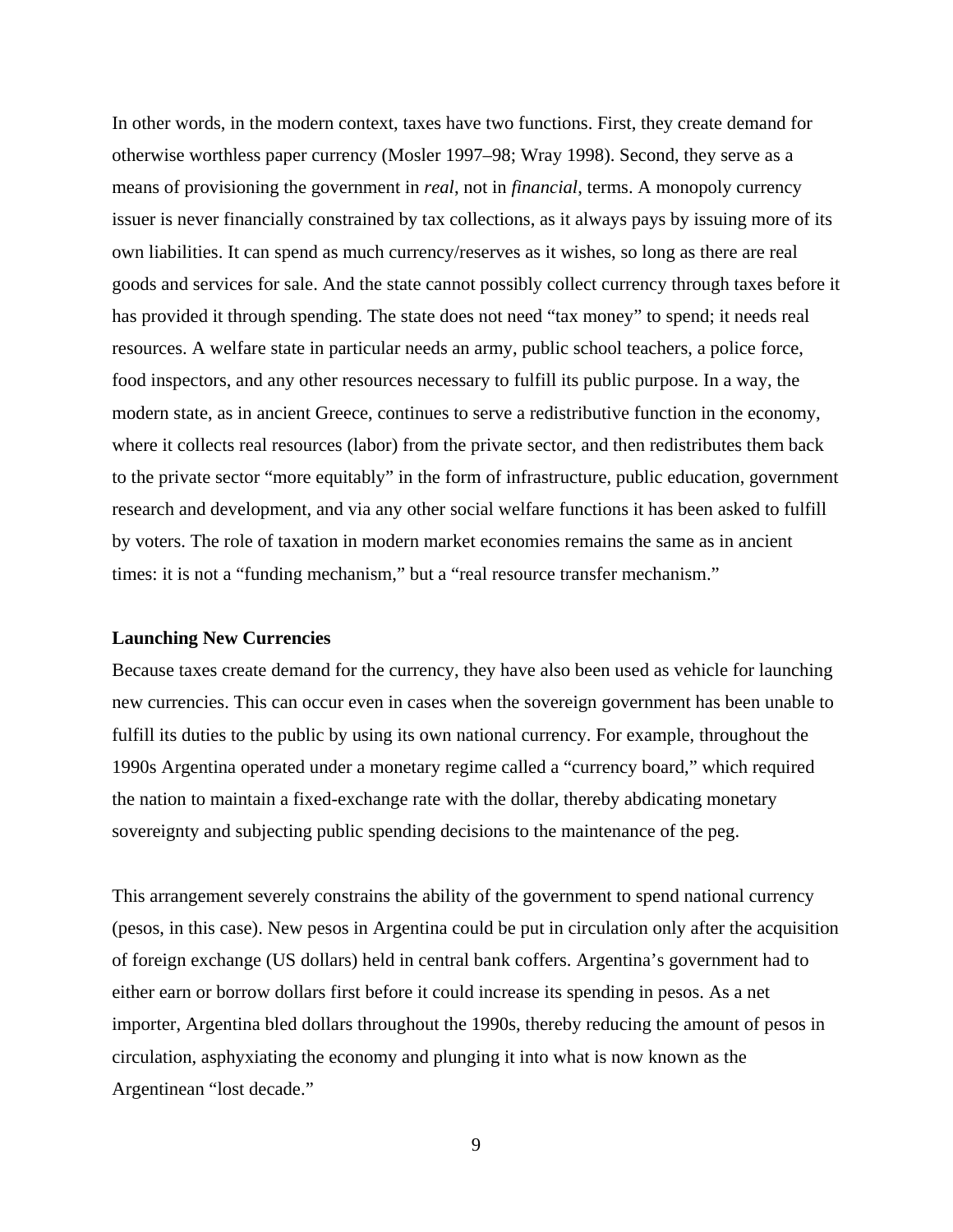In other words, in the modern context, taxes have two functions. First, they create demand for otherwise worthless paper currency (Mosler 1997–98; Wray 1998). Second, they serve as a means of provisioning the government in *real*, not in *financial*, terms. A monopoly currency issuer is never financially constrained by tax collections, as it always pays by issuing more of its own liabilities. It can spend as much currency/reserves as it wishes, so long as there are real goods and services for sale. And the state cannot possibly collect currency through taxes before it has provided it through spending. The state does not need "tax money" to spend; it needs real resources. A welfare state in particular needs an army, public school teachers, a police force, food inspectors, and any other resources necessary to fulfill its public purpose. In a way, the modern state, as in ancient Greece, continues to serve a redistributive function in the economy, where it collects real resources (labor) from the private sector, and then redistributes them back to the private sector "more equitably" in the form of infrastructure, public education, government research and development, and via any other social welfare functions it has been asked to fulfill by voters. The role of taxation in modern market economies remains the same as in ancient times: it is not a "funding mechanism," but a "real resource transfer mechanism."

#### **Launching New Currencies**

Because taxes create demand for the currency, they have also been used as vehicle for launching new currencies. This can occur even in cases when the sovereign government has been unable to fulfill its duties to the public by using its own national currency. For example, throughout the 1990s Argentina operated under a monetary regime called a "currency board," which required the nation to maintain a fixed-exchange rate with the dollar, thereby abdicating monetary sovereignty and subjecting public spending decisions to the maintenance of the peg.

This arrangement severely constrains the ability of the government to spend national currency (pesos, in this case). New pesos in Argentina could be put in circulation only after the acquisition of foreign exchange (US dollars) held in central bank coffers. Argentina's government had to either earn or borrow dollars first before it could increase its spending in pesos. As a net importer, Argentina bled dollars throughout the 1990s, thereby reducing the amount of pesos in circulation, asphyxiating the economy and plunging it into what is now known as the Argentinean "lost decade."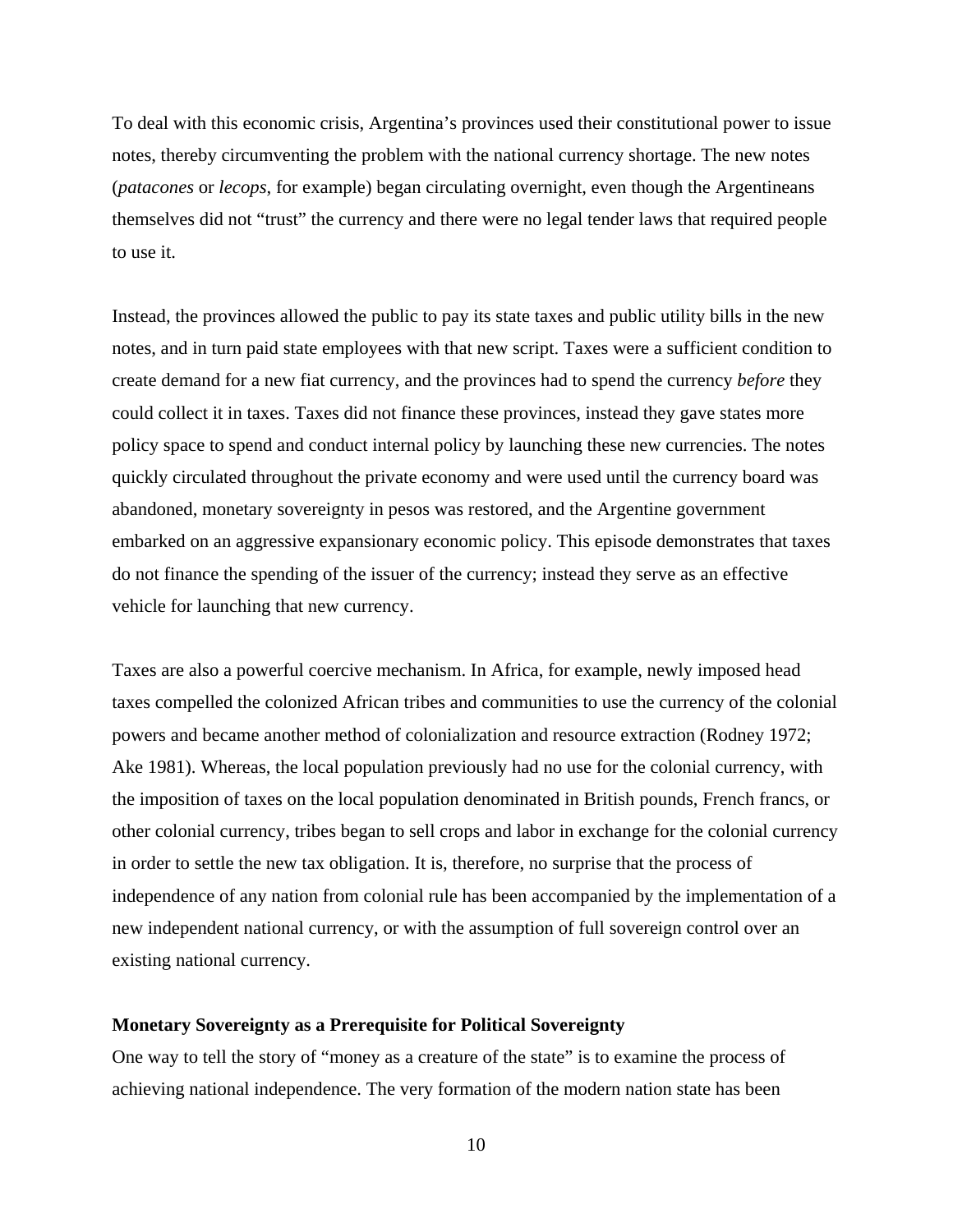To deal with this economic crisis, Argentina's provinces used their constitutional power to issue notes, thereby circumventing the problem with the national currency shortage. The new notes (*patacones* or *lecops*, for example) began circulating overnight, even though the Argentineans themselves did not "trust" the currency and there were no legal tender laws that required people to use it.

Instead, the provinces allowed the public to pay its state taxes and public utility bills in the new notes, and in turn paid state employees with that new script. Taxes were a sufficient condition to create demand for a new fiat currency, and the provinces had to spend the currency *before* they could collect it in taxes. Taxes did not finance these provinces, instead they gave states more policy space to spend and conduct internal policy by launching these new currencies. The notes quickly circulated throughout the private economy and were used until the currency board was abandoned, monetary sovereignty in pesos was restored, and the Argentine government embarked on an aggressive expansionary economic policy. This episode demonstrates that taxes do not finance the spending of the issuer of the currency; instead they serve as an effective vehicle for launching that new currency.

Taxes are also a powerful coercive mechanism. In Africa, for example, newly imposed head taxes compelled the colonized African tribes and communities to use the currency of the colonial powers and became another method of colonialization and resource extraction (Rodney 1972; Ake 1981). Whereas, the local population previously had no use for the colonial currency, with the imposition of taxes on the local population denominated in British pounds, French francs, or other colonial currency, tribes began to sell crops and labor in exchange for the colonial currency in order to settle the new tax obligation. It is, therefore, no surprise that the process of independence of any nation from colonial rule has been accompanied by the implementation of a new independent national currency, or with the assumption of full sovereign control over an existing national currency.

#### **Monetary Sovereignty as a Prerequisite for Political Sovereignty**

One way to tell the story of "money as a creature of the state" is to examine the process of achieving national independence. The very formation of the modern nation state has been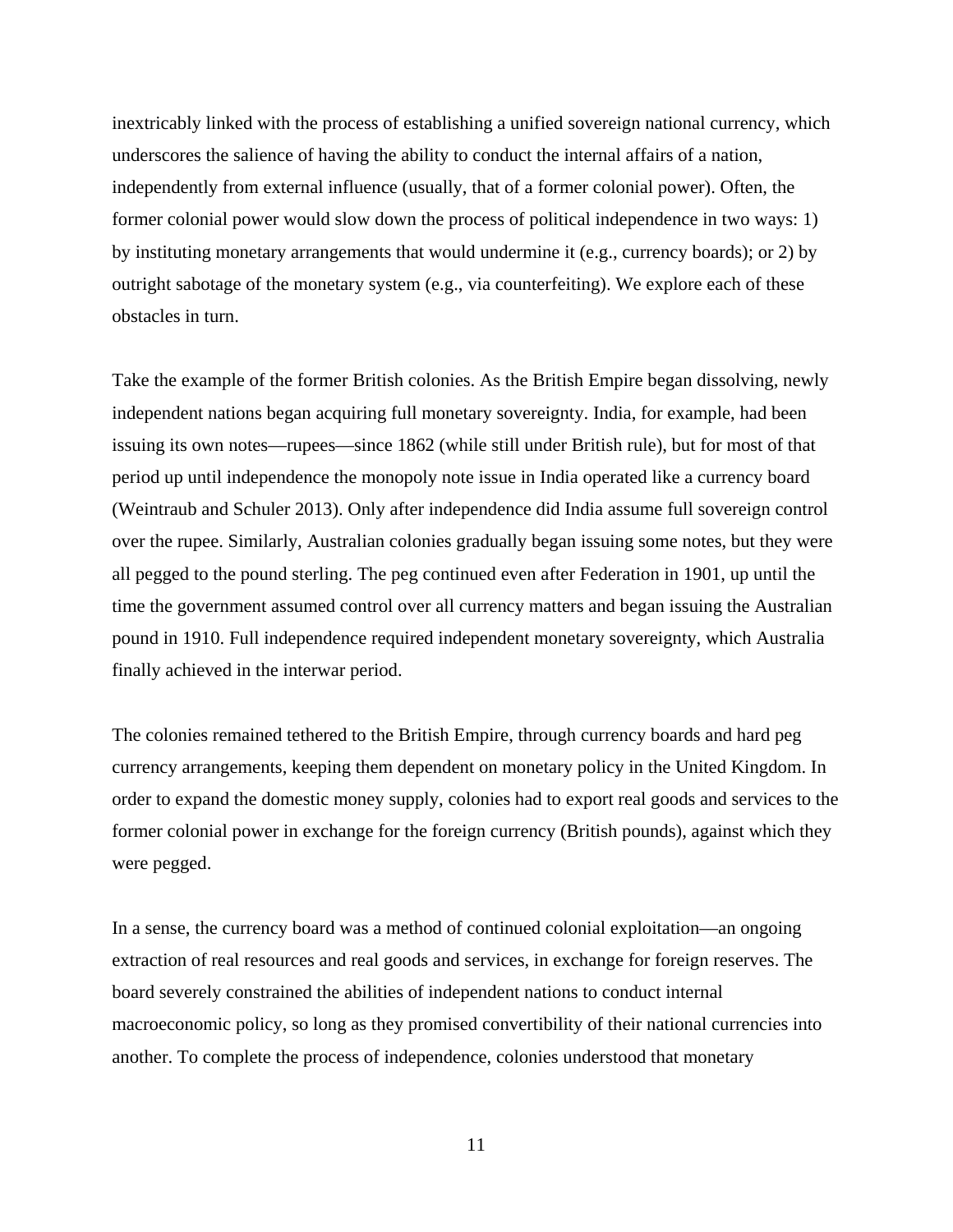inextricably linked with the process of establishing a unified sovereign national currency, which underscores the salience of having the ability to conduct the internal affairs of a nation, independently from external influence (usually, that of a former colonial power). Often, the former colonial power would slow down the process of political independence in two ways: 1) by instituting monetary arrangements that would undermine it (e.g., currency boards); or 2) by outright sabotage of the monetary system (e.g., via counterfeiting). We explore each of these obstacles in turn.

Take the example of the former British colonies. As the British Empire began dissolving, newly independent nations began acquiring full monetary sovereignty. India, for example, had been issuing its own notes—rupees—since 1862 (while still under British rule), but for most of that period up until independence the monopoly note issue in India operated like a currency board (Weintraub and Schuler 2013). Only after independence did India assume full sovereign control over the rupee. Similarly, Australian colonies gradually began issuing some notes, but they were all pegged to the pound sterling. The peg continued even after Federation in 1901, up until the time the government assumed control over all currency matters and began issuing the Australian pound in 1910. Full independence required independent monetary sovereignty, which Australia finally achieved in the interwar period.

The colonies remained tethered to the British Empire, through currency boards and hard peg currency arrangements, keeping them dependent on monetary policy in the United Kingdom. In order to expand the domestic money supply, colonies had to export real goods and services to the former colonial power in exchange for the foreign currency (British pounds), against which they were pegged.

In a sense, the currency board was a method of continued colonial exploitation—an ongoing extraction of real resources and real goods and services, in exchange for foreign reserves. The board severely constrained the abilities of independent nations to conduct internal macroeconomic policy, so long as they promised convertibility of their national currencies into another. To complete the process of independence, colonies understood that monetary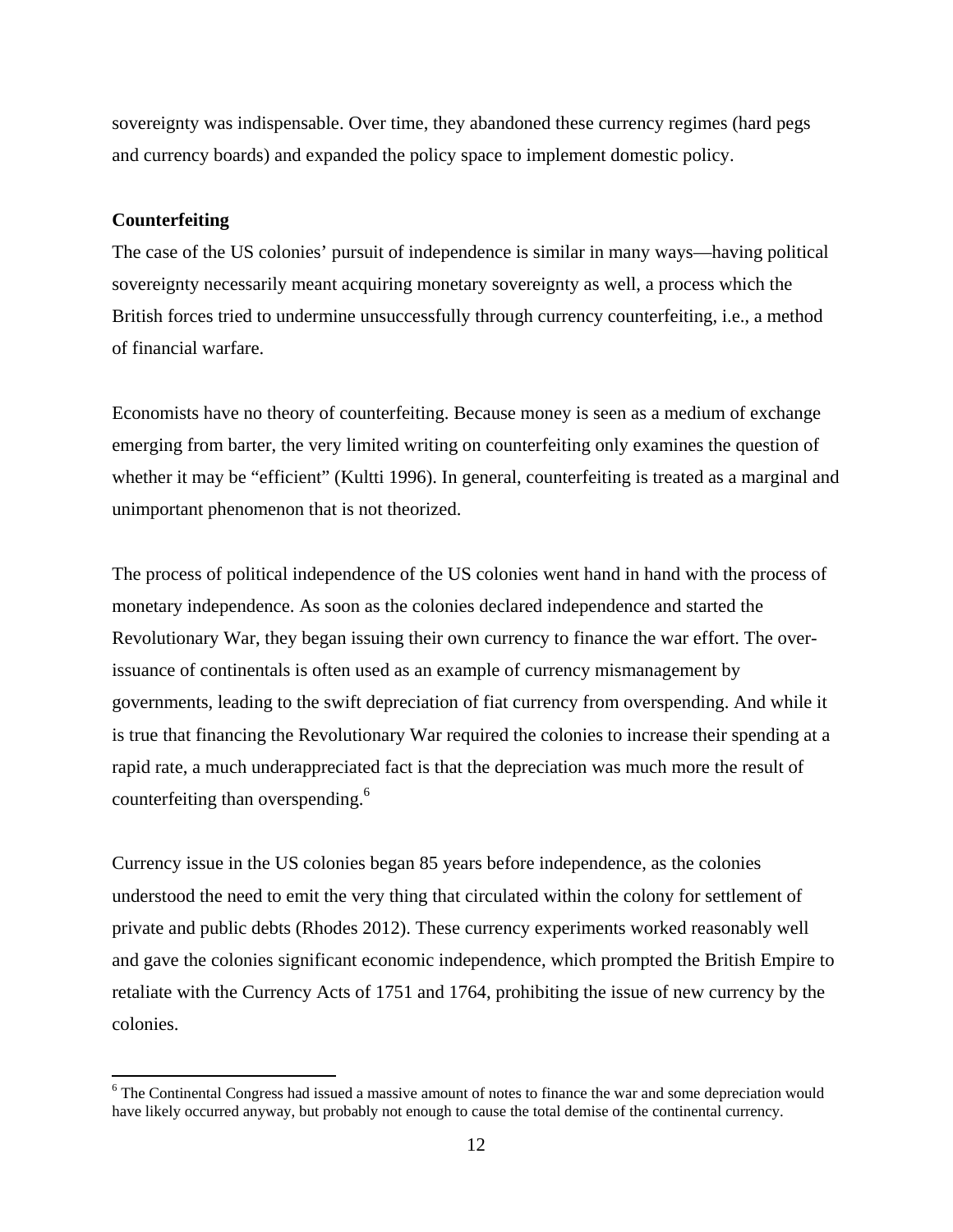sovereignty was indispensable. Over time, they abandoned these currency regimes (hard pegs and currency boards) and expanded the policy space to implement domestic policy.

#### **Counterfeiting**

The case of the US colonies' pursuit of independence is similar in many ways—having political sovereignty necessarily meant acquiring monetary sovereignty as well, a process which the British forces tried to undermine unsuccessfully through currency counterfeiting, i.e., a method of financial warfare.

Economists have no theory of counterfeiting. Because money is seen as a medium of exchange emerging from barter, the very limited writing on counterfeiting only examines the question of whether it may be "efficient" (Kultti 1996). In general, counterfeiting is treated as a marginal and unimportant phenomenon that is not theorized.

The process of political independence of the US colonies went hand in hand with the process of monetary independence. As soon as the colonies declared independence and started the Revolutionary War, they began issuing their own currency to finance the war effort. The overissuance of continentals is often used as an example of currency mismanagement by governments, leading to the swift depreciation of fiat currency from overspending. And while it is true that financing the Revolutionary War required the colonies to increase their spending at a rapid rate, a much underappreciated fact is that the depreciation was much more the result of counterfeiting than overspending.<sup>6</sup>

Currency issue in the US colonies began 85 years before independence, as the colonies understood the need to emit the very thing that circulated within the colony for settlement of private and public debts (Rhodes 2012). These currency experiments worked reasonably well and gave the colonies significant economic independence, which prompted the British Empire to retaliate with the Currency Acts of 1751 and 1764, prohibiting the issue of new currency by the colonies.

<sup>&</sup>lt;sup>6</sup> The Continental Congress had issued a massive amount of notes to finance the war and some depreciation would have likely occurred anyway, but probably not enough to cause the total demise of the continental currency.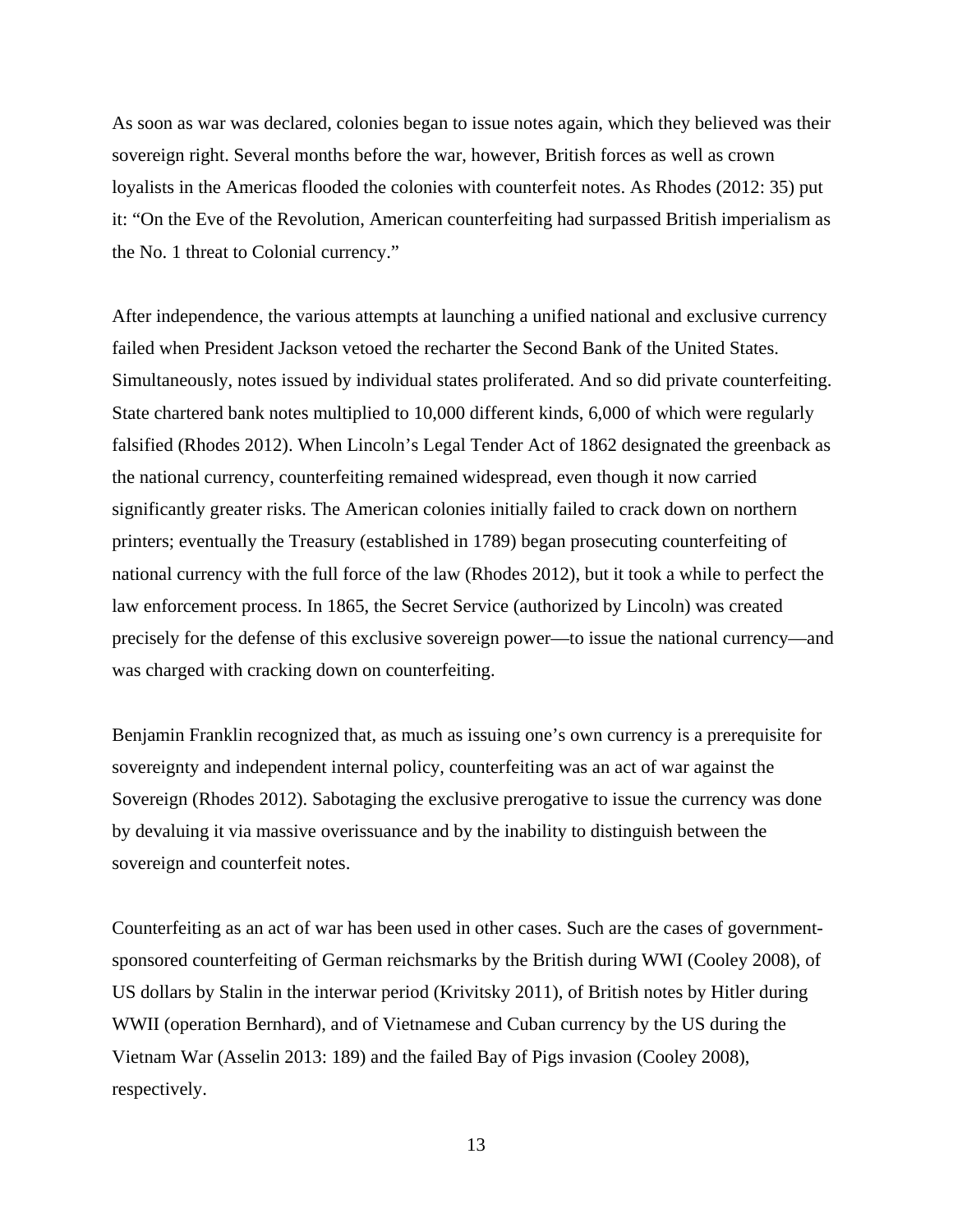As soon as war was declared, colonies began to issue notes again, which they believed was their sovereign right. Several months before the war, however, British forces as well as crown loyalists in the Americas flooded the colonies with counterfeit notes. As Rhodes (2012: 35) put it: "On the Eve of the Revolution, American counterfeiting had surpassed British imperialism as the No. 1 threat to Colonial currency."

After independence, the various attempts at launching a unified national and exclusive currency failed when President Jackson vetoed the recharter the Second Bank of the United States. Simultaneously, notes issued by individual states proliferated. And so did private counterfeiting. State chartered bank notes multiplied to 10,000 different kinds, 6,000 of which were regularly falsified (Rhodes 2012). When Lincoln's Legal Tender Act of 1862 designated the greenback as the national currency, counterfeiting remained widespread, even though it now carried significantly greater risks. The American colonies initially failed to crack down on northern printers; eventually the Treasury (established in 1789) began prosecuting counterfeiting of national currency with the full force of the law (Rhodes 2012), but it took a while to perfect the law enforcement process. In 1865, the Secret Service (authorized by Lincoln) was created precisely for the defense of this exclusive sovereign power—to issue the national currency—and was charged with cracking down on counterfeiting.

Benjamin Franklin recognized that, as much as issuing one's own currency is a prerequisite for sovereignty and independent internal policy, counterfeiting was an act of war against the Sovereign (Rhodes 2012). Sabotaging the exclusive prerogative to issue the currency was done by devaluing it via massive overissuance and by the inability to distinguish between the sovereign and counterfeit notes.

Counterfeiting as an act of war has been used in other cases. Such are the cases of governmentsponsored counterfeiting of German reichsmarks by the British during WWI (Cooley 2008), of US dollars by Stalin in the interwar period (Krivitsky 2011), of British notes by Hitler during WWII (operation Bernhard), and of Vietnamese and Cuban currency by the US during the Vietnam War (Asselin 2013: 189) and the failed Bay of Pigs invasion (Cooley 2008), respectively.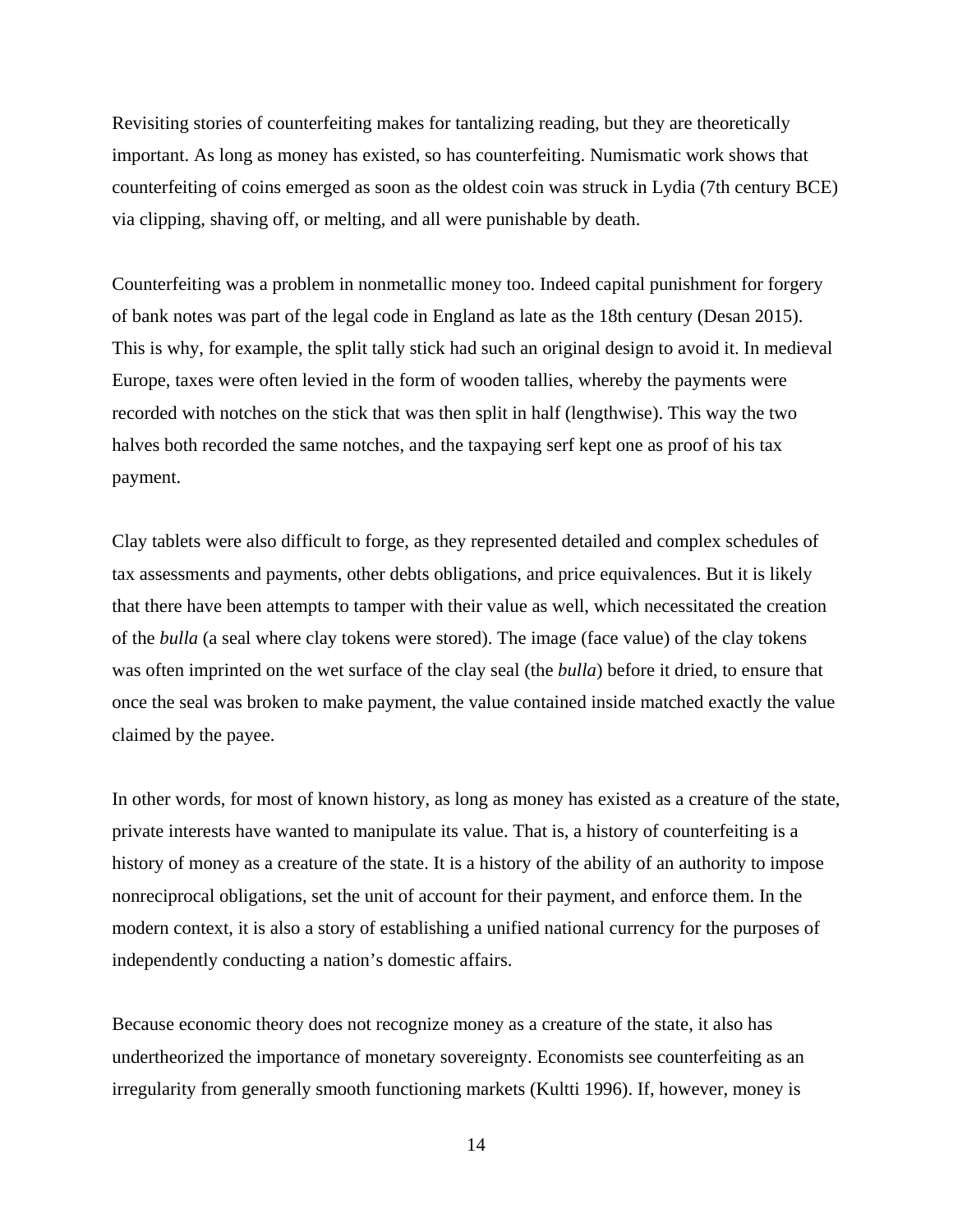Revisiting stories of counterfeiting makes for tantalizing reading, but they are theoretically important. As long as money has existed, so has counterfeiting. Numismatic work shows that counterfeiting of coins emerged as soon as the oldest coin was struck in Lydia (7th century BCE) via clipping, shaving off, or melting, and all were punishable by death.

Counterfeiting was a problem in nonmetallic money too. Indeed capital punishment for forgery of bank notes was part of the legal code in England as late as the 18th century (Desan 2015). This is why, for example, the split tally stick had such an original design to avoid it. In medieval Europe, taxes were often levied in the form of wooden tallies, whereby the payments were recorded with notches on the stick that was then split in half (lengthwise). This way the two halves both recorded the same notches, and the taxpaying serf kept one as proof of his tax payment.

Clay tablets were also difficult to forge, as they represented detailed and complex schedules of tax assessments and payments, other debts obligations, and price equivalences. But it is likely that there have been attempts to tamper with their value as well, which necessitated the creation of the *bulla* (a seal where clay tokens were stored). The image (face value) of the clay tokens was often imprinted on the wet surface of the clay seal (the *bulla*) before it dried, to ensure that once the seal was broken to make payment, the value contained inside matched exactly the value claimed by the payee.

In other words, for most of known history, as long as money has existed as a creature of the state, private interests have wanted to manipulate its value. That is, a history of counterfeiting is a history of money as a creature of the state. It is a history of the ability of an authority to impose nonreciprocal obligations, set the unit of account for their payment, and enforce them. In the modern context, it is also a story of establishing a unified national currency for the purposes of independently conducting a nation's domestic affairs.

Because economic theory does not recognize money as a creature of the state, it also has undertheorized the importance of monetary sovereignty. Economists see counterfeiting as an irregularity from generally smooth functioning markets (Kultti 1996). If, however, money is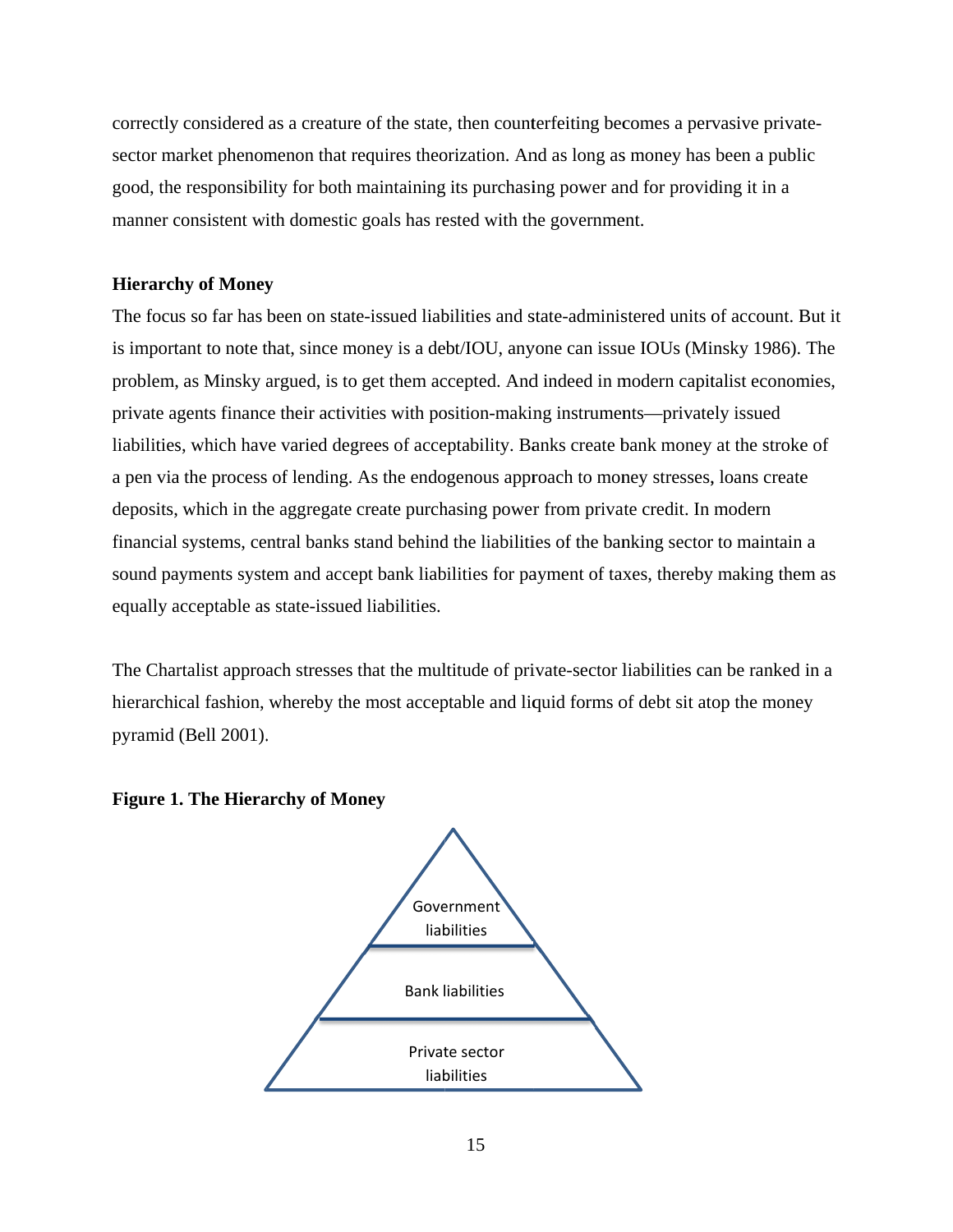correctly considered as a creature of the state, then counterfeiting becomes a pervasive privatesector market phenomenon that requires theorization. And as long as money has been a public good, the responsibility for both maintaining its purchasing power and for providing it in a manner consistent with domestic goals has rested with the government.

# **Hierarchy of Money**

The focus so far has been on state-issued liabilities and state-administered units of account. But it is important to note that, since money is a debt/IOU, anyone can issue IOUs (Minsky 1986). The problem, as Minsky argued, is to get them accepted. And indeed in modern capitalist economies, private agents finance their activities with position-making instruments—privately issued liabilities, which have varied degrees of acceptability. Banks create bank money at the stroke of a pen via the process of lending. As the endogenous approach to money stresses, loans create deposits, which in the aggregate create purchasing power from private credit. In modern a pen via the process of lending. As the endogenous approach to money stresses, loans create<br>deposits, which in the aggregate create purchasing power from private credit. In modern<br>financial systems, central banks stand be sound payments system and accept bank liabilities for payment of taxes, thereby making them as equally acceptable as state-issued liabilities.

The Chartalist approach stresses that the multitude of private-sector liabilities can be ranked in a hierarchical fashion, whereby the most acceptable and liquid forms of debt sit atop the money pyramid (Bell 2001). .



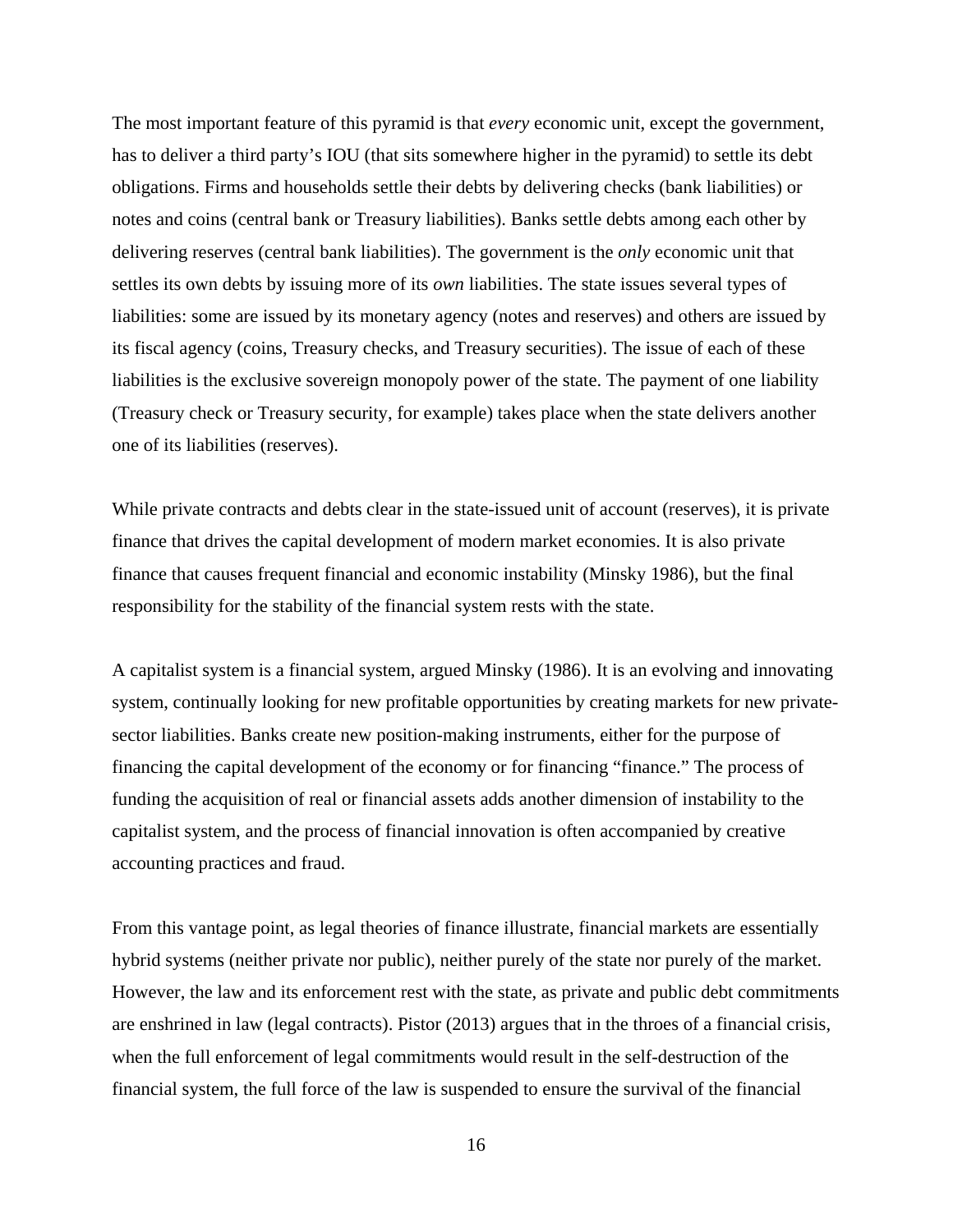The most important feature of this pyramid is that *every* economic unit, except the government, has to deliver a third party's IOU (that sits somewhere higher in the pyramid) to settle its debt obligations. Firms and households settle their debts by delivering checks (bank liabilities) or notes and coins (central bank or Treasury liabilities). Banks settle debts among each other by delivering reserves (central bank liabilities). The government is the *only* economic unit that settles its own debts by issuing more of its *own* liabilities. The state issues several types of liabilities: some are issued by its monetary agency (notes and reserves) and others are issued by its fiscal agency (coins, Treasury checks, and Treasury securities). The issue of each of these liabilities is the exclusive sovereign monopoly power of the state. The payment of one liability (Treasury check or Treasury security, for example) takes place when the state delivers another one of its liabilities (reserves).

While private contracts and debts clear in the state-issued unit of account (reserves), it is private finance that drives the capital development of modern market economies. It is also private finance that causes frequent financial and economic instability (Minsky 1986), but the final responsibility for the stability of the financial system rests with the state.

A capitalist system is a financial system, argued Minsky (1986). It is an evolving and innovating system, continually looking for new profitable opportunities by creating markets for new privatesector liabilities. Banks create new position-making instruments, either for the purpose of financing the capital development of the economy or for financing "finance." The process of funding the acquisition of real or financial assets adds another dimension of instability to the capitalist system, and the process of financial innovation is often accompanied by creative accounting practices and fraud.

From this vantage point, as legal theories of finance illustrate, financial markets are essentially hybrid systems (neither private nor public), neither purely of the state nor purely of the market. However, the law and its enforcement rest with the state, as private and public debt commitments are enshrined in law (legal contracts). Pistor (2013) argues that in the throes of a financial crisis, when the full enforcement of legal commitments would result in the self-destruction of the financial system, the full force of the law is suspended to ensure the survival of the financial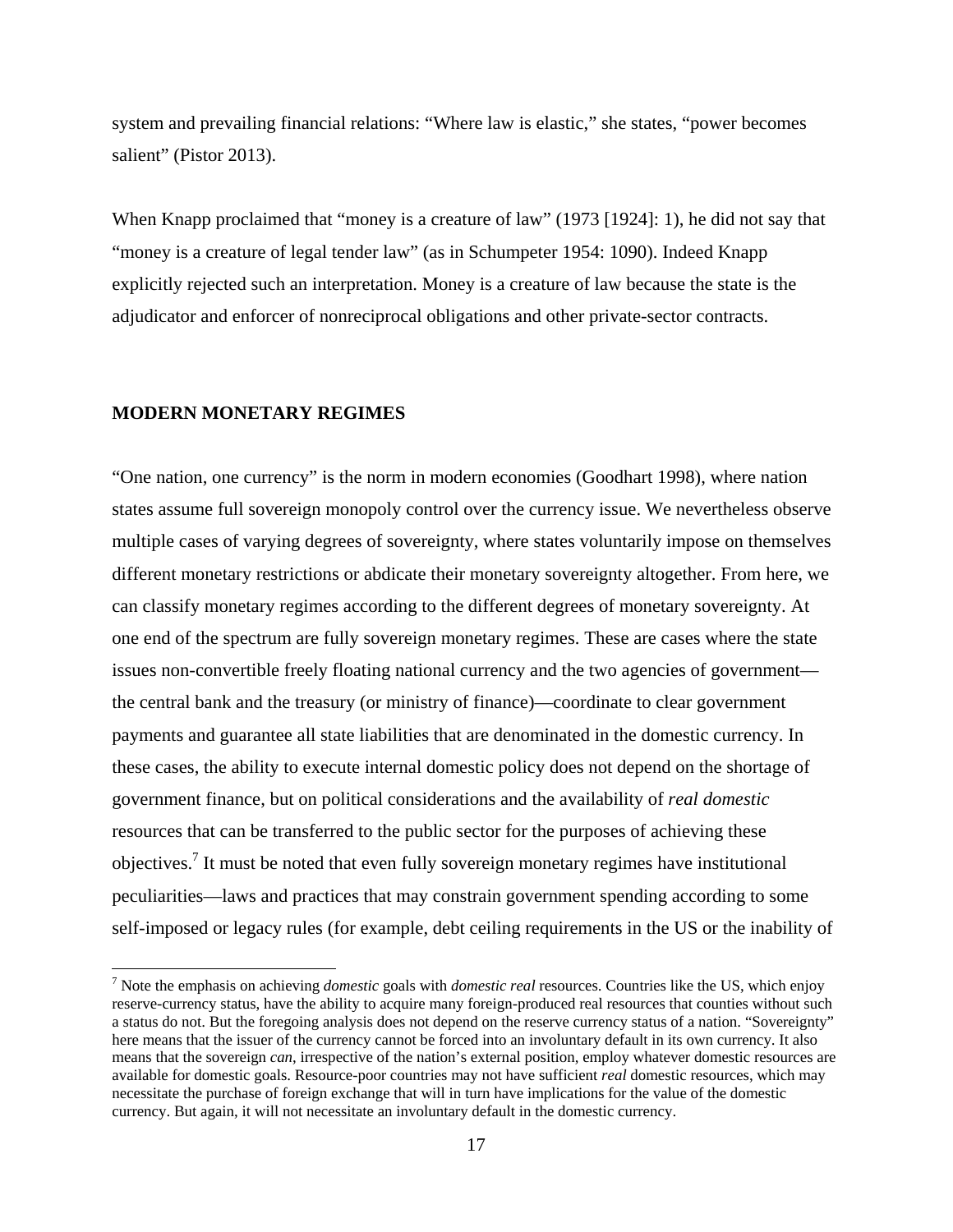system and prevailing financial relations: "Where law is elastic," she states, "power becomes salient" (Pistor 2013).

When Knapp proclaimed that "money is a creature of law" (1973 [1924]: 1), he did not say that "money is a creature of legal tender law" (as in Schumpeter 1954: 1090). Indeed Knapp explicitly rejected such an interpretation. Money is a creature of law because the state is the adjudicator and enforcer of nonreciprocal obligations and other private-sector contracts.

# **MODERN MONETARY REGIMES**

"One nation, one currency" is the norm in modern economies (Goodhart 1998), where nation states assume full sovereign monopoly control over the currency issue. We nevertheless observe multiple cases of varying degrees of sovereignty, where states voluntarily impose on themselves different monetary restrictions or abdicate their monetary sovereignty altogether. From here, we can classify monetary regimes according to the different degrees of monetary sovereignty. At one end of the spectrum are fully sovereign monetary regimes. These are cases where the state issues non-convertible freely floating national currency and the two agencies of government the central bank and the treasury (or ministry of finance)—coordinate to clear government payments and guarantee all state liabilities that are denominated in the domestic currency. In these cases, the ability to execute internal domestic policy does not depend on the shortage of government finance, but on political considerations and the availability of *real domestic* resources that can be transferred to the public sector for the purposes of achieving these objectives.<sup>7</sup> It must be noted that even fully sovereign monetary regimes have institutional peculiarities—laws and practices that may constrain government spending according to some self-imposed or legacy rules (for example, debt ceiling requirements in the US or the inability of

<sup>7</sup> Note the emphasis on achieving *domestic* goals with *domestic real* resources. Countries like the US, which enjoy reserve-currency status, have the ability to acquire many foreign-produced real resources that counties without such a status do not. But the foregoing analysis does not depend on the reserve currency status of a nation. "Sovereignty" here means that the issuer of the currency cannot be forced into an involuntary default in its own currency. It also means that the sovereign *can*, irrespective of the nation's external position, employ whatever domestic resources are available for domestic goals. Resource-poor countries may not have sufficient *real* domestic resources, which may necessitate the purchase of foreign exchange that will in turn have implications for the value of the domestic currency. But again, it will not necessitate an involuntary default in the domestic currency.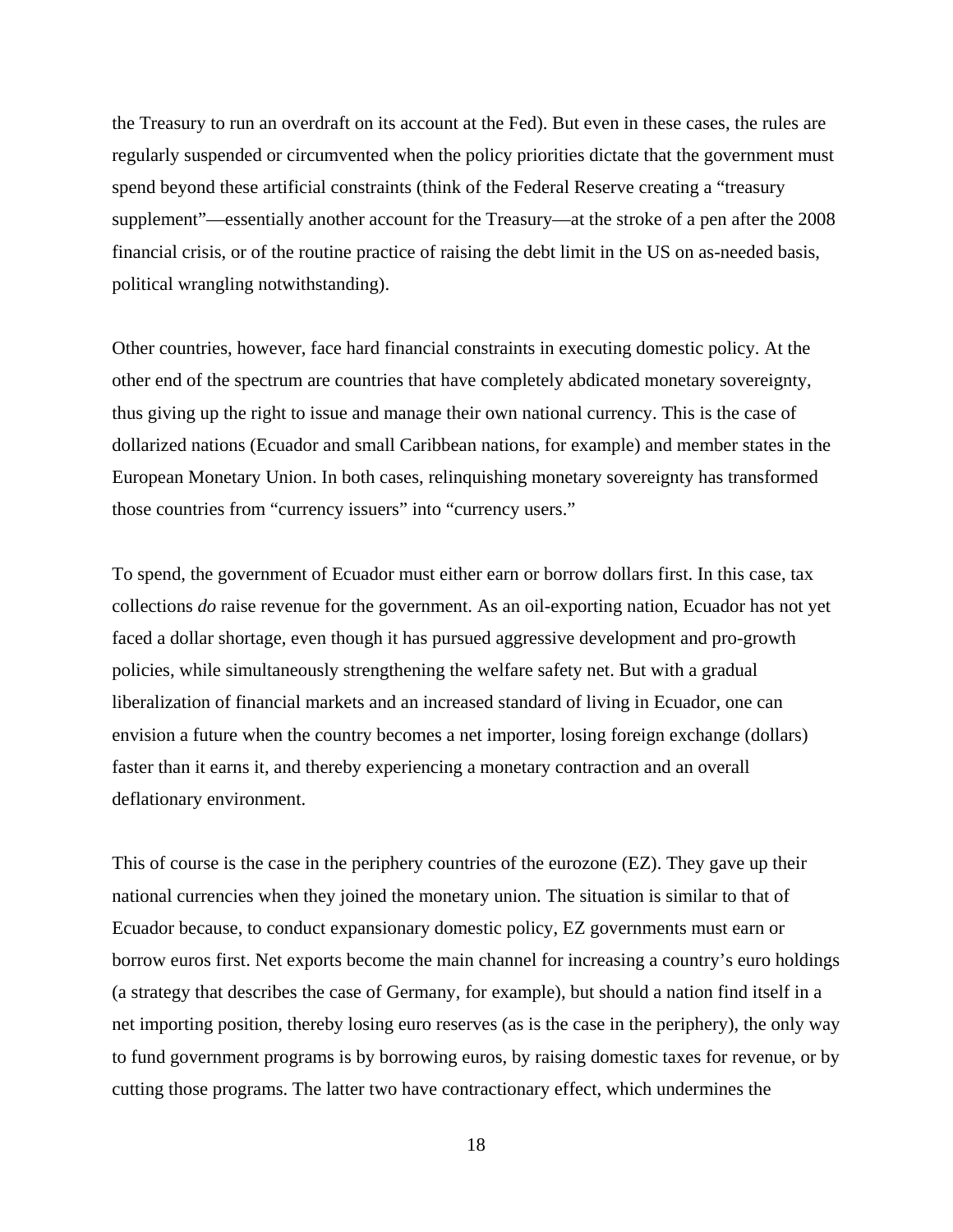the Treasury to run an overdraft on its account at the Fed). But even in these cases, the rules are regularly suspended or circumvented when the policy priorities dictate that the government must spend beyond these artificial constraints (think of the Federal Reserve creating a "treasury supplement"—essentially another account for the Treasury—at the stroke of a pen after the 2008 financial crisis, or of the routine practice of raising the debt limit in the US on as-needed basis, political wrangling notwithstanding).

Other countries, however, face hard financial constraints in executing domestic policy. At the other end of the spectrum are countries that have completely abdicated monetary sovereignty, thus giving up the right to issue and manage their own national currency. This is the case of dollarized nations (Ecuador and small Caribbean nations, for example) and member states in the European Monetary Union. In both cases, relinquishing monetary sovereignty has transformed those countries from "currency issuers" into "currency users."

To spend, the government of Ecuador must either earn or borrow dollars first. In this case, tax collections *do* raise revenue for the government. As an oil-exporting nation, Ecuador has not yet faced a dollar shortage, even though it has pursued aggressive development and pro-growth policies, while simultaneously strengthening the welfare safety net. But with a gradual liberalization of financial markets and an increased standard of living in Ecuador, one can envision a future when the country becomes a net importer, losing foreign exchange (dollars) faster than it earns it, and thereby experiencing a monetary contraction and an overall deflationary environment.

This of course is the case in the periphery countries of the eurozone (EZ). They gave up their national currencies when they joined the monetary union. The situation is similar to that of Ecuador because, to conduct expansionary domestic policy, EZ governments must earn or borrow euros first. Net exports become the main channel for increasing a country's euro holdings (a strategy that describes the case of Germany, for example), but should a nation find itself in a net importing position, thereby losing euro reserves (as is the case in the periphery), the only way to fund government programs is by borrowing euros, by raising domestic taxes for revenue, or by cutting those programs. The latter two have contractionary effect, which undermines the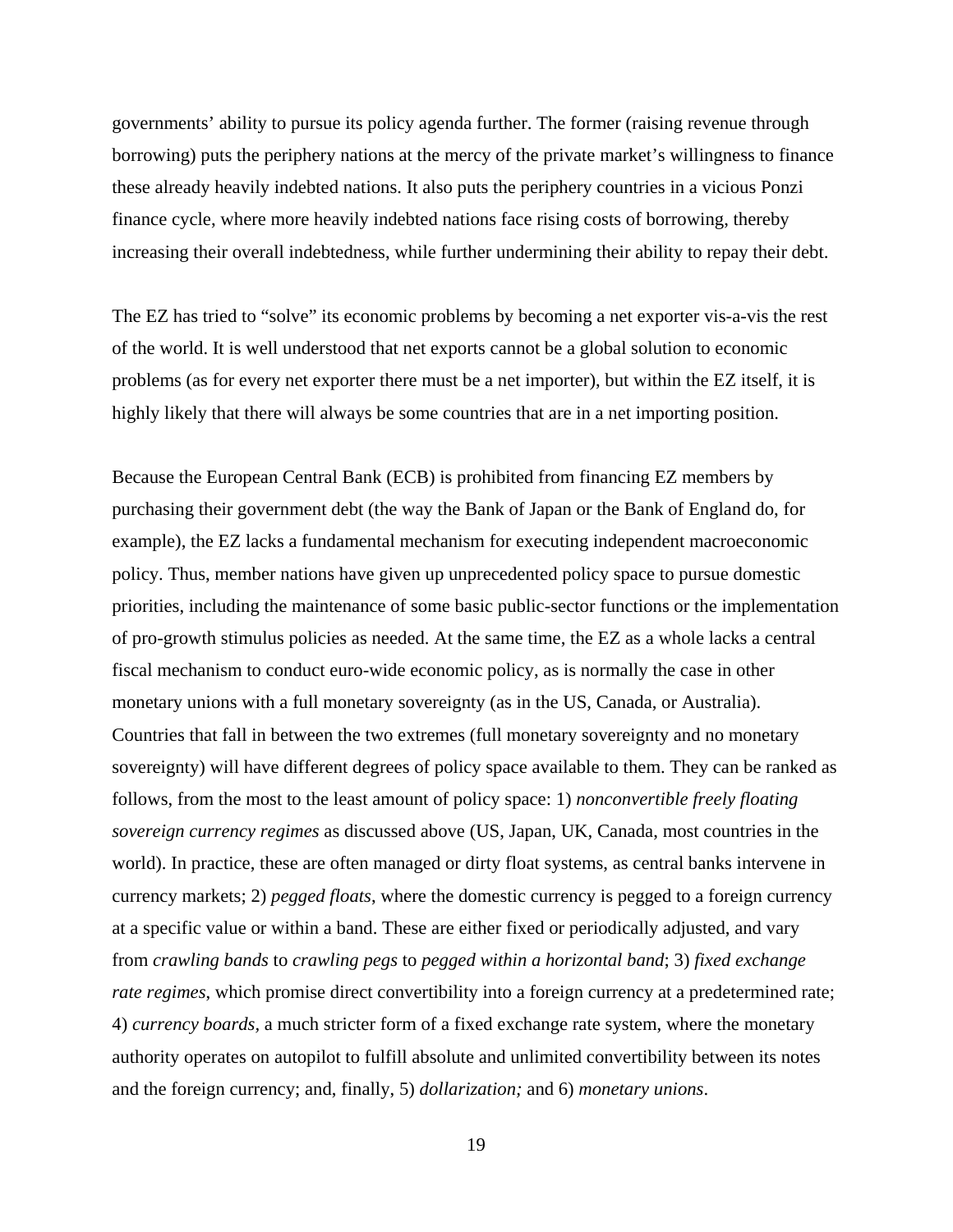governments' ability to pursue its policy agenda further. The former (raising revenue through borrowing) puts the periphery nations at the mercy of the private market's willingness to finance these already heavily indebted nations. It also puts the periphery countries in a vicious Ponzi finance cycle, where more heavily indebted nations face rising costs of borrowing, thereby increasing their overall indebtedness, while further undermining their ability to repay their debt.

The EZ has tried to "solve" its economic problems by becoming a net exporter vis-a-vis the rest of the world. It is well understood that net exports cannot be a global solution to economic problems (as for every net exporter there must be a net importer), but within the EZ itself, it is highly likely that there will always be some countries that are in a net importing position.

Because the European Central Bank (ECB) is prohibited from financing EZ members by purchasing their government debt (the way the Bank of Japan or the Bank of England do, for example), the EZ lacks a fundamental mechanism for executing independent macroeconomic policy. Thus, member nations have given up unprecedented policy space to pursue domestic priorities, including the maintenance of some basic public-sector functions or the implementation of pro-growth stimulus policies as needed. At the same time, the EZ as a whole lacks a central fiscal mechanism to conduct euro-wide economic policy, as is normally the case in other monetary unions with a full monetary sovereignty (as in the US, Canada, or Australia). Countries that fall in between the two extremes (full monetary sovereignty and no monetary sovereignty) will have different degrees of policy space available to them. They can be ranked as follows, from the most to the least amount of policy space: 1) *nonconvertible freely floating sovereign currency regimes* as discussed above (US, Japan, UK, Canada, most countries in the world). In practice, these are often managed or dirty float systems, as central banks intervene in currency markets; 2) *pegged floats*, where the domestic currency is pegged to a foreign currency at a specific value or within a band. These are either fixed or periodically adjusted, and vary from *crawling bands* to *crawling pegs* to *pegged within a horizontal band*; 3) *fixed exchange rate regimes*, which promise direct convertibility into a foreign currency at a predetermined rate; 4) *currency boards,* a much stricter form of a fixed exchange rate system, where the monetary authority operates on autopilot to fulfill absolute and unlimited convertibility between its notes and the foreign currency; and, finally, 5) *dollarization;* and 6) *monetary unions*.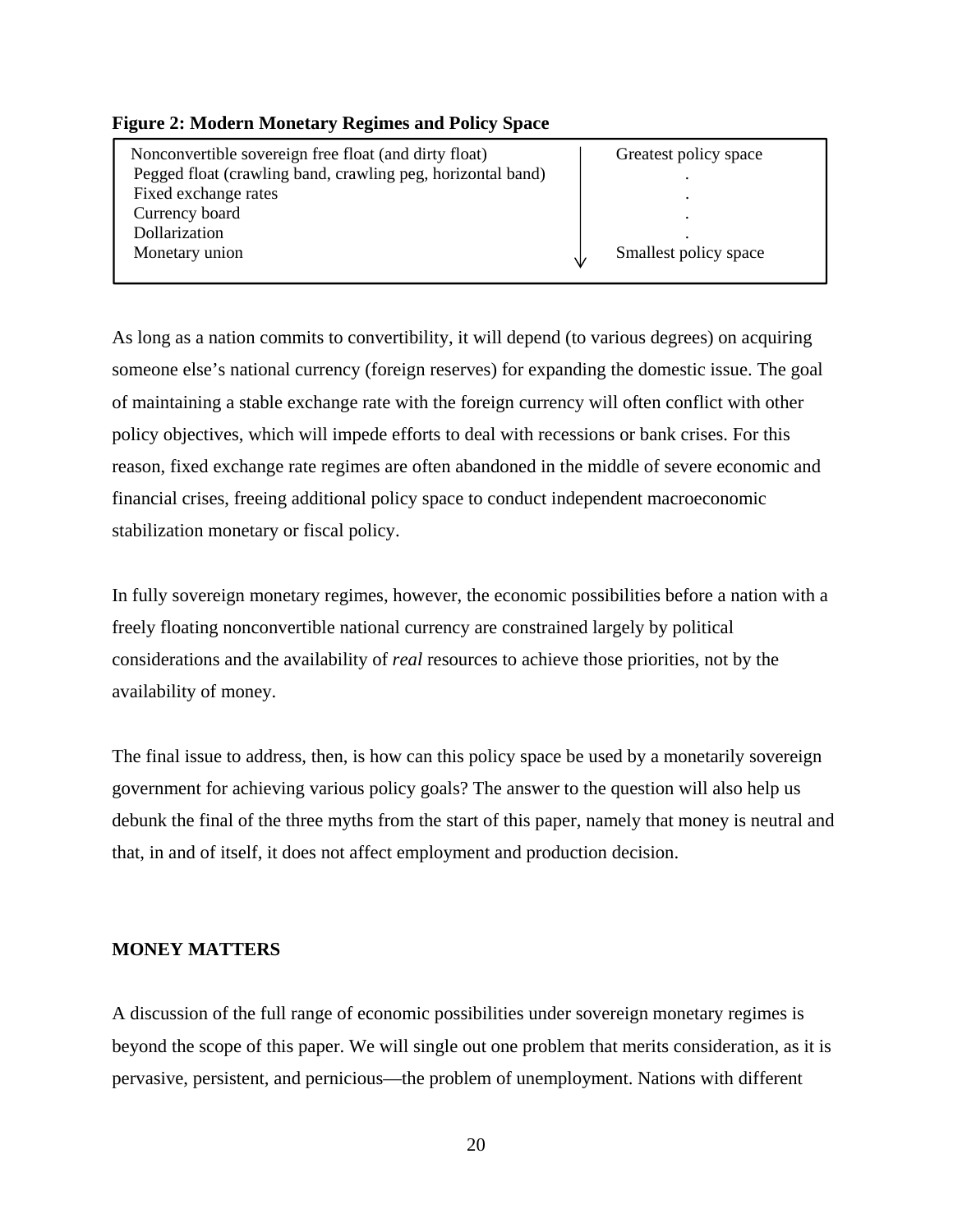|  |  | <b>Figure 2: Modern Monetary Regimes and Policy Space</b> |  |
|--|--|-----------------------------------------------------------|--|
|  |  |                                                           |  |

| Nonconvertible sovereign free float (and dirty float)       |   | Greatest policy space |  |
|-------------------------------------------------------------|---|-----------------------|--|
| Pegged float (crawling band, crawling peg, horizontal band) |   |                       |  |
| Fixed exchange rates                                        |   |                       |  |
| Currency board                                              |   |                       |  |
| Dollarization                                               |   |                       |  |
| Monetary union                                              | ₩ | Smallest policy space |  |
|                                                             |   |                       |  |

As long as a nation commits to convertibility, it will depend (to various degrees) on acquiring someone else's national currency (foreign reserves) for expanding the domestic issue. The goal of maintaining a stable exchange rate with the foreign currency will often conflict with other policy objectives, which will impede efforts to deal with recessions or bank crises. For this reason, fixed exchange rate regimes are often abandoned in the middle of severe economic and financial crises, freeing additional policy space to conduct independent macroeconomic stabilization monetary or fiscal policy.

In fully sovereign monetary regimes, however, the economic possibilities before a nation with a freely floating nonconvertible national currency are constrained largely by political considerations and the availability of *real* resources to achieve those priorities, not by the availability of money.

The final issue to address, then, is how can this policy space be used by a monetarily sovereign government for achieving various policy goals? The answer to the question will also help us debunk the final of the three myths from the start of this paper, namely that money is neutral and that, in and of itself, it does not affect employment and production decision.

### **MONEY MATTERS**

A discussion of the full range of economic possibilities under sovereign monetary regimes is beyond the scope of this paper. We will single out one problem that merits consideration, as it is pervasive, persistent, and pernicious—the problem of unemployment. Nations with different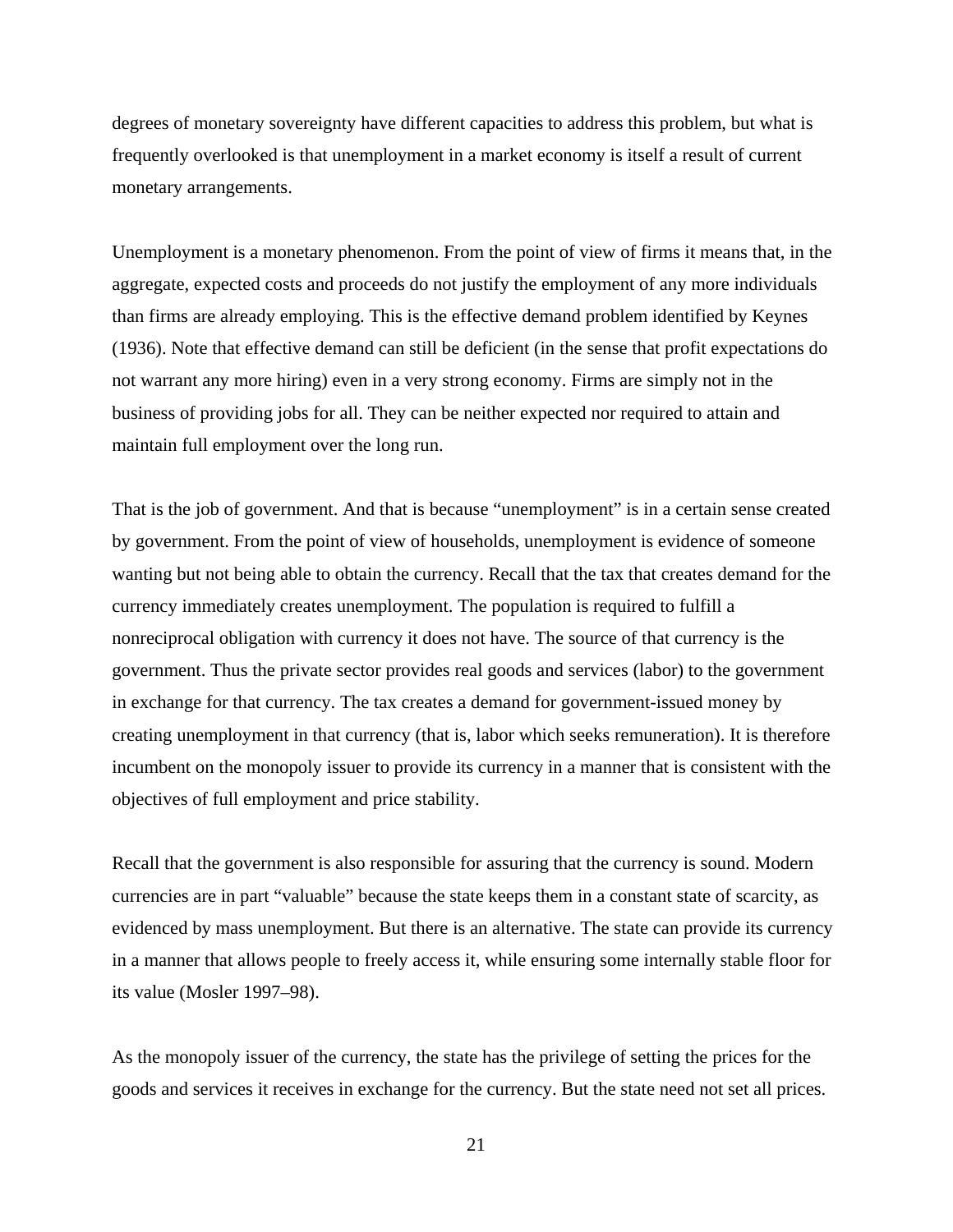degrees of monetary sovereignty have different capacities to address this problem, but what is frequently overlooked is that unemployment in a market economy is itself a result of current monetary arrangements.

Unemployment is a monetary phenomenon. From the point of view of firms it means that, in the aggregate, expected costs and proceeds do not justify the employment of any more individuals than firms are already employing. This is the effective demand problem identified by Keynes (1936). Note that effective demand can still be deficient (in the sense that profit expectations do not warrant any more hiring) even in a very strong economy. Firms are simply not in the business of providing jobs for all. They can be neither expected nor required to attain and maintain full employment over the long run.

That is the job of government. And that is because "unemployment" is in a certain sense created by government. From the point of view of households, unemployment is evidence of someone wanting but not being able to obtain the currency. Recall that the tax that creates demand for the currency immediately creates unemployment. The population is required to fulfill a nonreciprocal obligation with currency it does not have. The source of that currency is the government. Thus the private sector provides real goods and services (labor) to the government in exchange for that currency. The tax creates a demand for government-issued money by creating unemployment in that currency (that is, labor which seeks remuneration). It is therefore incumbent on the monopoly issuer to provide its currency in a manner that is consistent with the objectives of full employment and price stability.

Recall that the government is also responsible for assuring that the currency is sound. Modern currencies are in part "valuable" because the state keeps them in a constant state of scarcity, as evidenced by mass unemployment. But there is an alternative. The state can provide its currency in a manner that allows people to freely access it, while ensuring some internally stable floor for its value (Mosler 1997–98).

As the monopoly issuer of the currency, the state has the privilege of setting the prices for the goods and services it receives in exchange for the currency. But the state need not set all prices.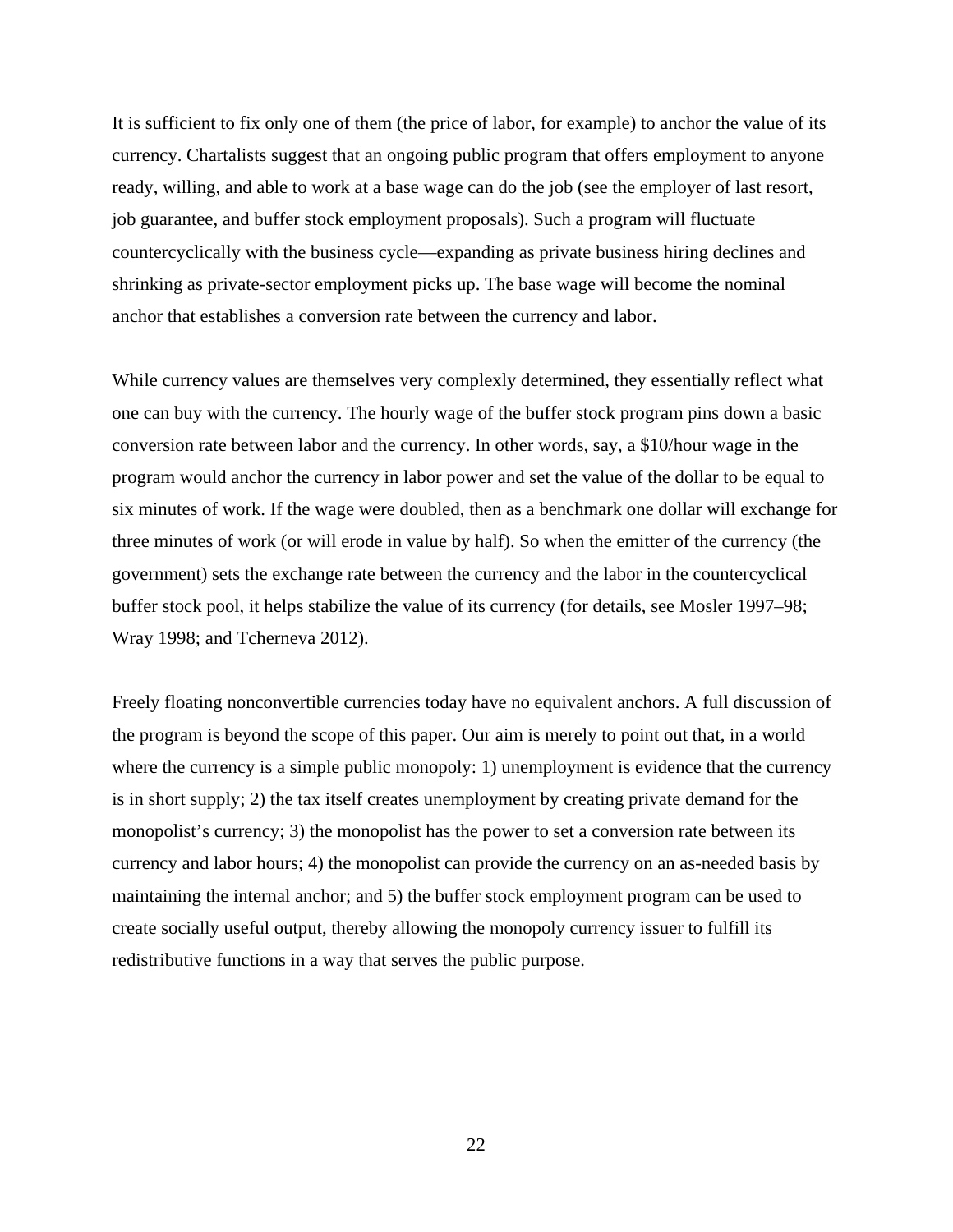It is sufficient to fix only one of them (the price of labor, for example) to anchor the value of its currency. Chartalists suggest that an ongoing public program that offers employment to anyone ready, willing, and able to work at a base wage can do the job (see the employer of last resort, job guarantee, and buffer stock employment proposals). Such a program will fluctuate countercyclically with the business cycle—expanding as private business hiring declines and shrinking as private-sector employment picks up. The base wage will become the nominal anchor that establishes a conversion rate between the currency and labor.

While currency values are themselves very complexly determined, they essentially reflect what one can buy with the currency. The hourly wage of the buffer stock program pins down a basic conversion rate between labor and the currency. In other words, say, a \$10/hour wage in the program would anchor the currency in labor power and set the value of the dollar to be equal to six minutes of work. If the wage were doubled, then as a benchmark one dollar will exchange for three minutes of work (or will erode in value by half). So when the emitter of the currency (the government) sets the exchange rate between the currency and the labor in the countercyclical buffer stock pool, it helps stabilize the value of its currency (for details, see Mosler 1997–98; Wray 1998; and Tcherneva 2012).

Freely floating nonconvertible currencies today have no equivalent anchors. A full discussion of the program is beyond the scope of this paper. Our aim is merely to point out that, in a world where the currency is a simple public monopoly: 1) unemployment is evidence that the currency is in short supply; 2) the tax itself creates unemployment by creating private demand for the monopolist's currency; 3) the monopolist has the power to set a conversion rate between its currency and labor hours; 4) the monopolist can provide the currency on an as-needed basis by maintaining the internal anchor; and 5) the buffer stock employment program can be used to create socially useful output, thereby allowing the monopoly currency issuer to fulfill its redistributive functions in a way that serves the public purpose.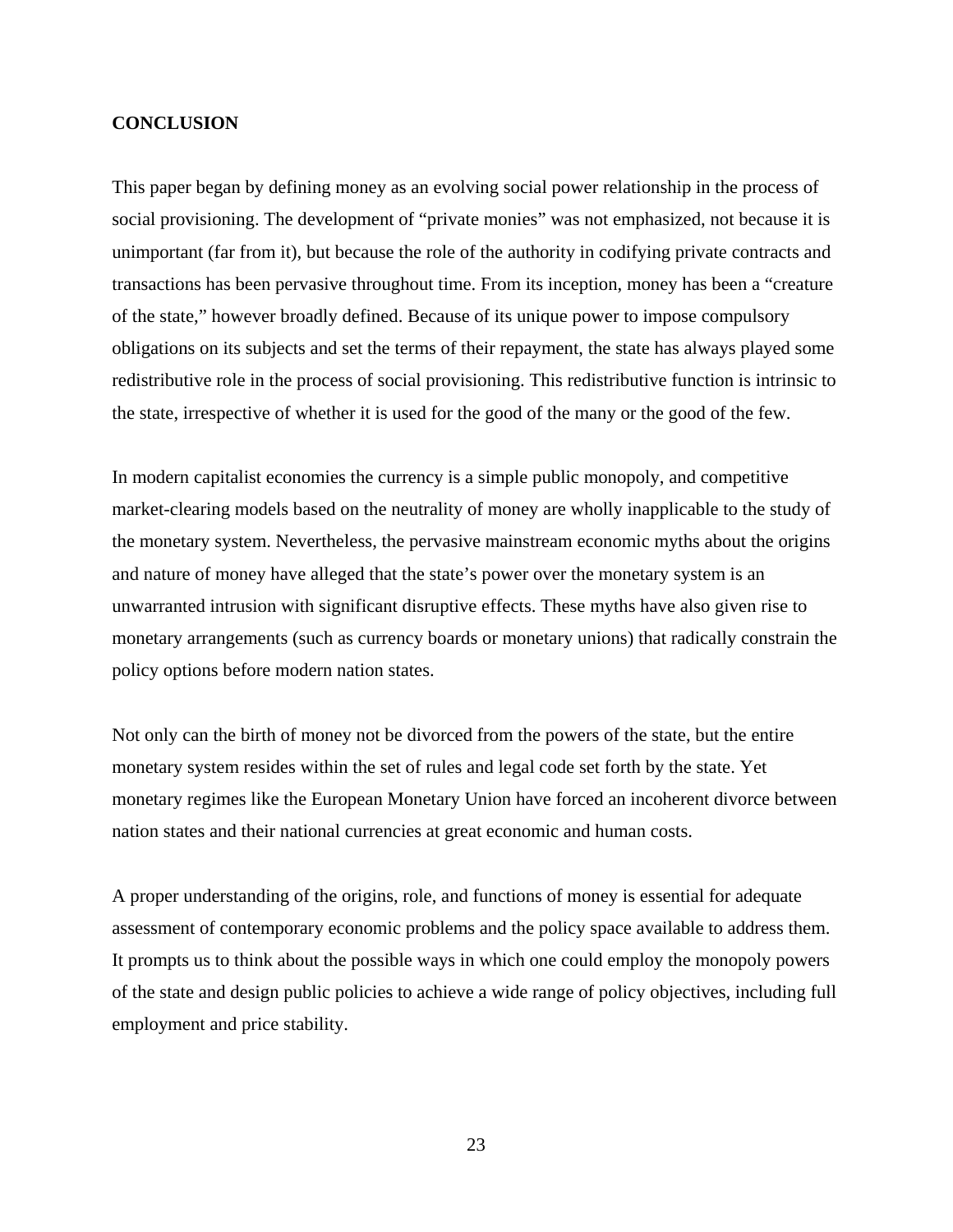#### **CONCLUSION**

This paper began by defining money as an evolving social power relationship in the process of social provisioning. The development of "private monies" was not emphasized, not because it is unimportant (far from it), but because the role of the authority in codifying private contracts and transactions has been pervasive throughout time. From its inception, money has been a "creature of the state," however broadly defined. Because of its unique power to impose compulsory obligations on its subjects and set the terms of their repayment, the state has always played some redistributive role in the process of social provisioning. This redistributive function is intrinsic to the state, irrespective of whether it is used for the good of the many or the good of the few.

In modern capitalist economies the currency is a simple public monopoly, and competitive market-clearing models based on the neutrality of money are wholly inapplicable to the study of the monetary system. Nevertheless, the pervasive mainstream economic myths about the origins and nature of money have alleged that the state's power over the monetary system is an unwarranted intrusion with significant disruptive effects. These myths have also given rise to monetary arrangements (such as currency boards or monetary unions) that radically constrain the policy options before modern nation states.

Not only can the birth of money not be divorced from the powers of the state, but the entire monetary system resides within the set of rules and legal code set forth by the state. Yet monetary regimes like the European Monetary Union have forced an incoherent divorce between nation states and their national currencies at great economic and human costs.

A proper understanding of the origins, role, and functions of money is essential for adequate assessment of contemporary economic problems and the policy space available to address them. It prompts us to think about the possible ways in which one could employ the monopoly powers of the state and design public policies to achieve a wide range of policy objectives, including full employment and price stability.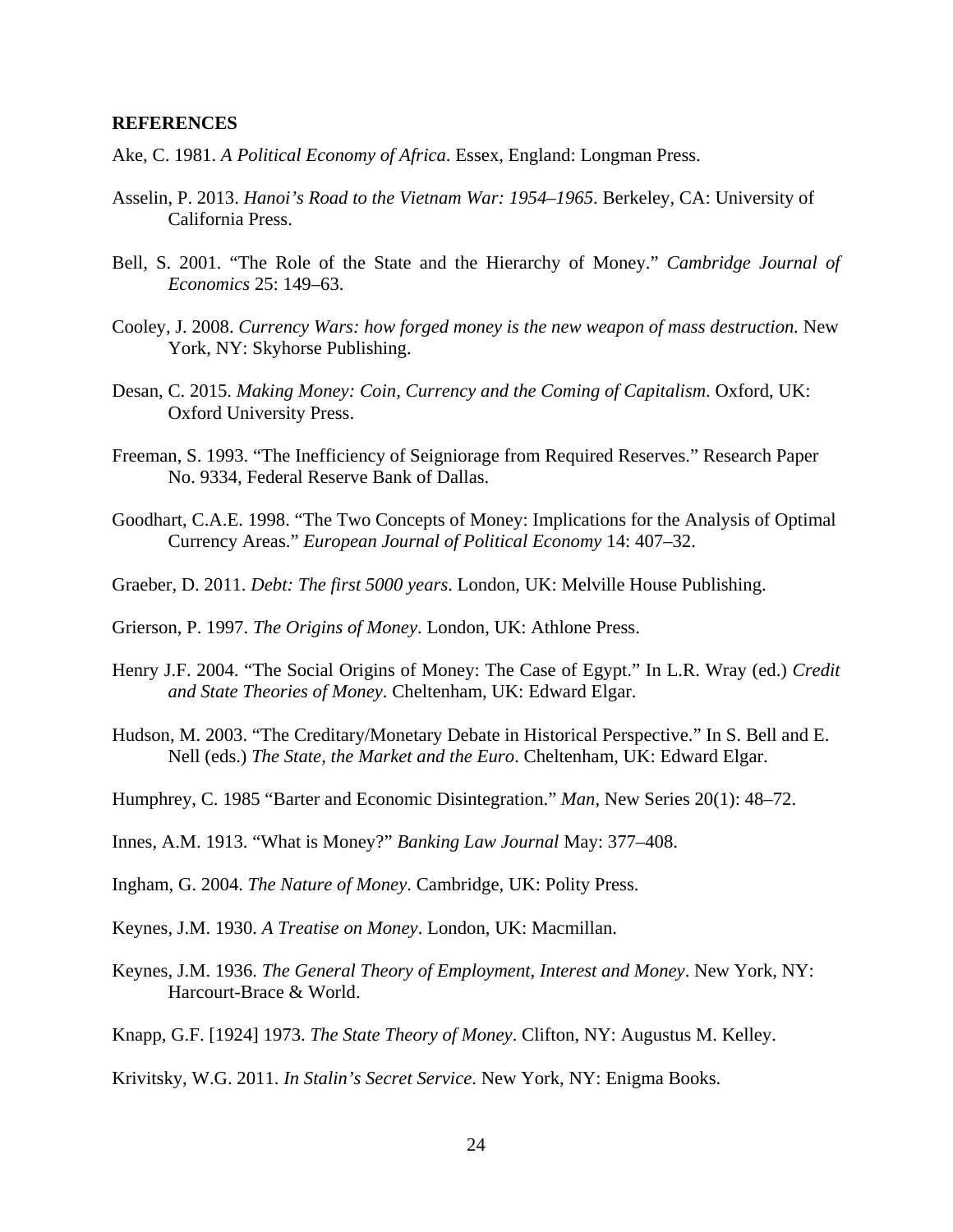#### **REFERENCES**

- Ake, C. 1981. *A Political Economy of Africa*. Essex, England: Longman Press.
- Asselin, P. 2013. *Hanoi's Road to the Vietnam War: 1954–1965*. Berkeley, CA: University of California Press.
- Bell, S. 2001. "The Role of the State and the Hierarchy of Money." *Cambridge Journal of Economics* 25: 149–63.
- Cooley, J. 2008. *Currency Wars: how forged money is the new weapon of mass destruction.* New York, NY: Skyhorse Publishing.
- Desan, C. 2015. *Making Money: Coin, Currency and the Coming of Capitalism*. Oxford, UK: Oxford University Press.
- Freeman, S. 1993. "The Inefficiency of Seigniorage from Required Reserves." Research Paper No. 9334, Federal Reserve Bank of Dallas.
- Goodhart, C.A.E. 1998. "The Two Concepts of Money: Implications for the Analysis of Optimal Currency Areas." *European Journal of Political Economy* 14: 407–32.
- Graeber, D. 2011. *Debt: The first 5000 years*. London, UK: Melville House Publishing.
- Grierson, P. 1997. *The Origins of Money*. London, UK: Athlone Press.
- Henry J.F. 2004. "The Social Origins of Money: The Case of Egypt." In L.R. Wray (ed.) *Credit and State Theories of Money*. Cheltenham, UK: Edward Elgar.
- Hudson, M. 2003. "The Creditary/Monetary Debate in Historical Perspective." In S. Bell and E. Nell (eds.) *The State, the Market and the Euro*. Cheltenham, UK: Edward Elgar.
- Humphrey, C. 1985 "Barter and Economic Disintegration." *Man*, New Series 20(1): 48–72.
- Innes, A.M. 1913. "What is Money?" *Banking Law Journal* May: 377–408.
- Ingham, G. 2004. *The Nature of Money*. Cambridge, UK: Polity Press.
- Keynes, J.M. 1930. *A Treatise on Money*. London, UK: Macmillan.
- Keynes, J.M. 1936. *The General Theory of Employment, Interest and Money*. New York, NY: Harcourt-Brace & World.

Knapp, G.F. [1924] 1973. *The State Theory of Money*. Clifton, NY: Augustus M. Kelley.

Krivitsky, W.G. 2011. *In Stalin's Secret Service*. New York, NY: Enigma Books.